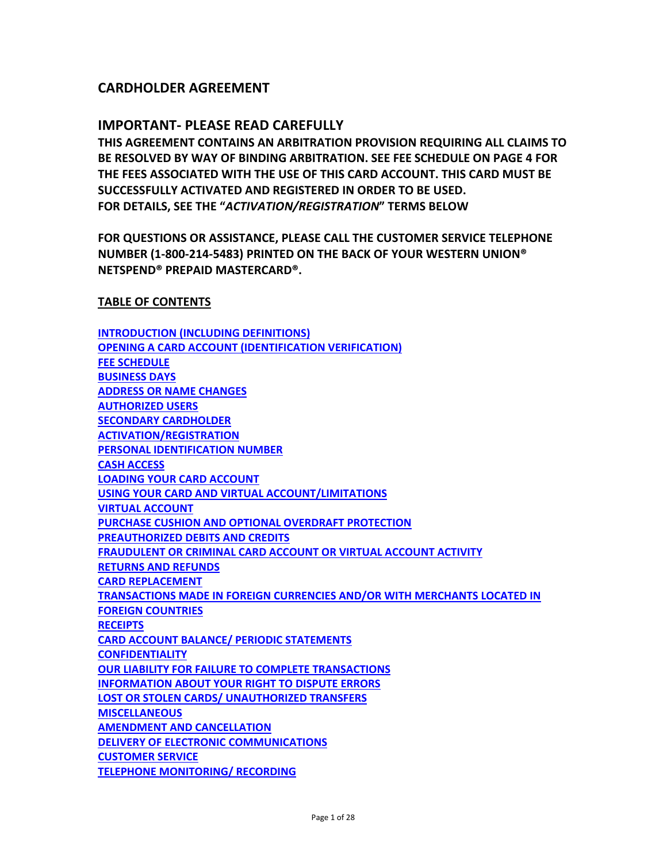# **CARDHOLDER AGREEMENT**

# **IMPORTANT‐ PLEASE READ CAREFULLY**

**THIS AGREEMENT CONTAINS AN ARBITRATION PROVISION REQUIRING ALL CLAIMS TO BE RESOLVED BY WAY OF BINDING ARBITRATION. SEE FEE SCHEDULE ON PAGE 4 FOR THE FEES ASSOCIATED WITH THE USE OF THIS CARD ACCOUNT. THIS CARD MUST BE SUCCESSFULLY ACTIVATED AND REGISTERED IN ORDER TO BE USED. FOR DETAILS, SEE THE "***ACTIVATION/REGISTRATION***" TERMS BELOW**

**FOR QUESTIONS OR ASSISTANCE, PLEASE CALL THE CUSTOMER SERVICE TELEPHONE NUMBER (1‐800‐214‐5483) PRINTED ON THE BACK OF YOUR WESTERN UNION® NETSPEND® PREPAID MASTERCARD®.** 

#### **TABLE OF CONTENTS**

**[INTRODUCTION](#page-2-0) (INCLUDING DEFINITIONS) OPENING A CARD ACCOUNT [\(IDENTIFICATION](#page-3-0) VERIFICATION) FEE [SCHEDULE](#page-3-0) [BUSINESS](#page-6-0) DAYS ADDRESS OR NAME [CHANGES](#page-7-0) [AUTHORIZED](#page-7-0) USERS SECONDARY [CARDHOLDER](#page-7-0) [ACTIVATION/REGISTRATION](#page-8-0) PERSONAL [IDENTIFICATION](#page-8-0) NUMBER CASH [ACCESS](#page-8-0) LOADING YOUR CARD [ACCOUNT](#page-8-0) USING YOUR CARD AND VIRTUAL [ACCOUNT/LIMITATIONS](#page-10-0) VIRTUAL [ACCOUNT](#page-12-0) PURCHASE CUSHION AND OPTIONAL OVERDRAFT [PROTECTION](#page-12-0) [PREAUTHORIZED](#page-17-0) DEBITS AND CREDITS [FRAUDULENT](#page-18-0) OR CRIMINAL CARD ACCOUNT OR VIRTUAL ACCOUNT ACTIVITY RETURNS AND [REFUNDS](#page-18-0) CARD [REPLACEMENT](#page-18-0) [TRANSACTIONS](#page-19-0) MADE IN FOREIGN CURRENCIES AND/OR WITH MERCHANTS LOCATED IN FOREIGN COUNTRIES [RECEIPTS](#page-19-0) CARD ACCOUNT BALANCE/ PERIODIC [STATEMENTS](#page-19-0) [CONFIDENTIALITY](#page-20-0) OUR LIABILITY FOR FAILURE TO COMPLETE [TRANSACTIONS](#page-20-0) [INFORMATION](#page-20-0) ABOUT YOUR RIGHT TO DISPUTE ERRORS LOST OR STOLEN CARDS/ [UNAUTHORIZED](#page-21-0) TRANSFERS [MISCELLANEOUS](#page-22-0) AMENDMENT AND [CANCELLATION](#page-22-0) DELIVERY OF ELECTRONIC [COMMUNICATIONS](#page-23-0) [CUSTOMER](#page-23-0) SERVICE TELEPHONE [MONITORING/](#page-24-0) RECORDING**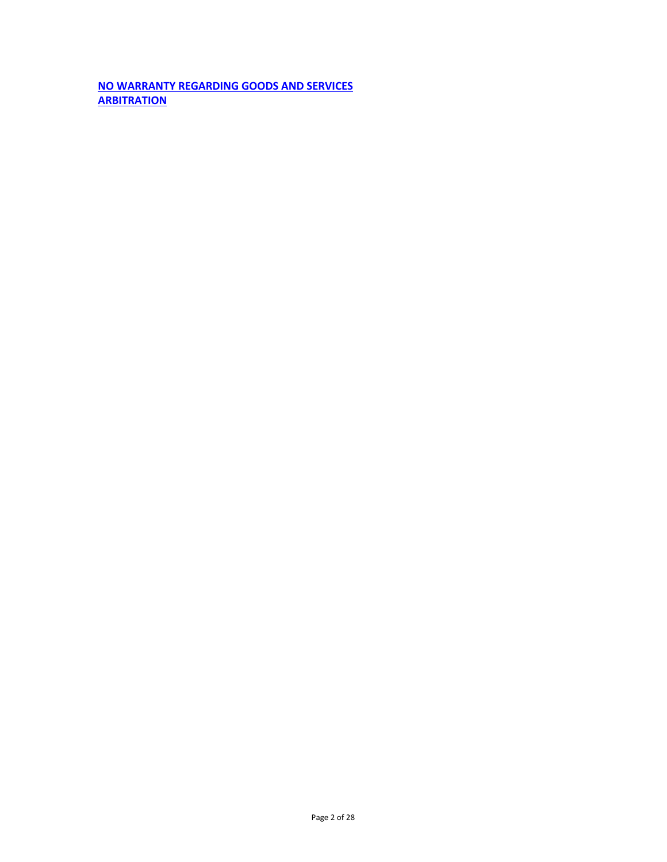**NO WARRANTY [REGARDING](#page-24-0) GOODS AND SERVICES [ARBITRATION](#page-24-0)**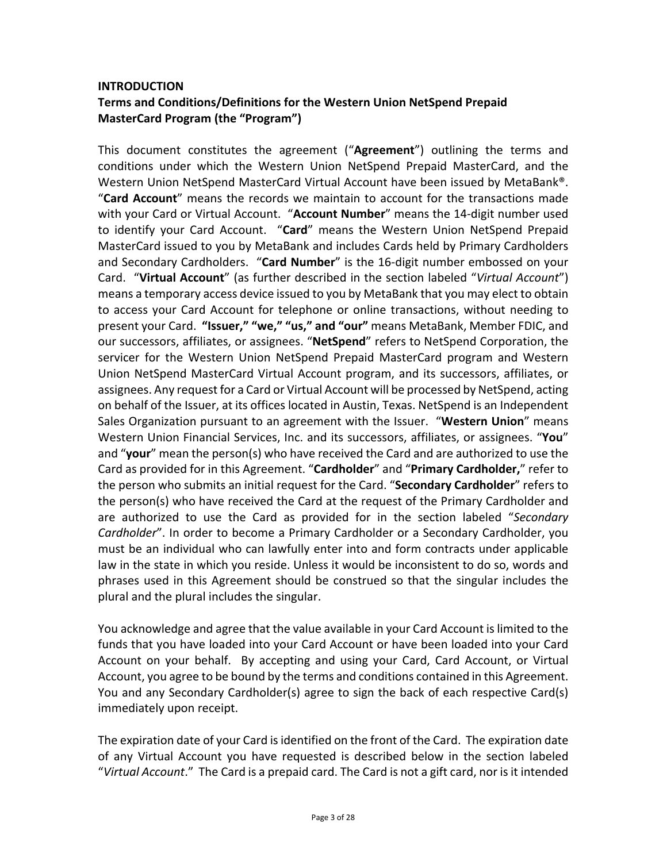# <span id="page-2-0"></span>**INTRODUCTION Terms and Conditions/Definitions for the Western Union NetSpend Prepaid MasterCard Program (the "Program")**

This document constitutes the agreement ("**Agreement**") outlining the terms and conditions under which the Western Union NetSpend Prepaid MasterCard, and the Western Union NetSpend MasterCard Virtual Account have been issued by MetaBank®. "**Card Account**" means the records we maintain to account for the transactions made with your Card or Virtual Account. "**Account Number**" means the 14‐digit number used to identify your Card Account. "**Card**" means the Western Union NetSpend Prepaid MasterCard issued to you by MetaBank and includes Cards held by Primary Cardholders and Secondary Cardholders. "**Card Number**" is the 16‐digit number embossed on your Card. "**Virtual Account**" (as further described in the section labeled "*Virtual Account*") means a temporary access device issued to you by MetaBank that you may elect to obtain to access your Card Account for telephone or online transactions, without needing to present your Card. **"Issuer," "we," "us," and "our"** means MetaBank, Member FDIC, and our successors, affiliates, or assignees. "**NetSpend**" refers to NetSpend Corporation, the servicer for the Western Union NetSpend Prepaid MasterCard program and Western Union NetSpend MasterCard Virtual Account program, and its successors, affiliates, or assignees. Any request for a Card or Virtual Account will be processed by NetSpend, acting on behalf of the Issuer, at its offices located in Austin, Texas. NetSpend is an Independent Sales Organization pursuant to an agreement with the Issuer. "**Western Union**" means Western Union Financial Services, Inc. and its successors, affiliates, or assignees. "**You**" and "**your**" mean the person(s) who have received the Card and are authorized to use the Card as provided for in this Agreement. "**Cardholder**" and "**Primary Cardholder,**" refer to the person who submits an initial request for the Card. "**Secondary Cardholder**" refers to the person(s) who have received the Card at the request of the Primary Cardholder and are authorized to use the Card as provided for in the section labeled "*Secondary Cardholder*". In order to become a Primary Cardholder or a Secondary Cardholder, you must be an individual who can lawfully enter into and form contracts under applicable law in the state in which you reside. Unless it would be inconsistent to do so, words and phrases used in this Agreement should be construed so that the singular includes the plural and the plural includes the singular.

You acknowledge and agree that the value available in your Card Account is limited to the funds that you have loaded into your Card Account or have been loaded into your Card Account on your behalf. By accepting and using your Card, Card Account, or Virtual Account, you agree to be bound by the terms and conditions contained in this Agreement. You and any Secondary Cardholder(s) agree to sign the back of each respective Card(s) immediately upon receipt.

The expiration date of your Card is identified on the front of the Card. The expiration date of any Virtual Account you have requested is described below in the section labeled "Virtual Account." The Card is a prepaid card. The Card is not a gift card, nor is it intended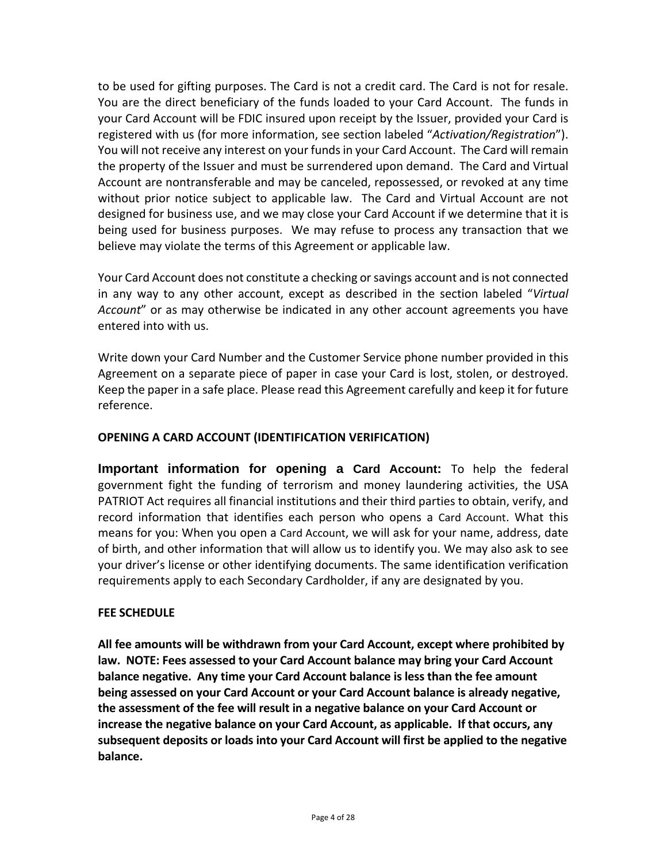<span id="page-3-0"></span>to be used for gifting purposes. The Card is not a credit card. The Card is not for resale. You are the direct beneficiary of the funds loaded to your Card Account. The funds in your Card Account will be FDIC insured upon receipt by the Issuer, provided your Card is registered with us (for more information, see section labeled "*Activation/Registration*"). You will not receive any interest on your fundsin your Card Account. The Card will remain the property of the Issuer and must be surrendered upon demand. The Card and Virtual Account are nontransferable and may be canceled, repossessed, or revoked at any time without prior notice subject to applicable law. The Card and Virtual Account are not designed for business use, and we may close your Card Account if we determine that it is being used for business purposes. We may refuse to process any transaction that we believe may violate the terms of this Agreement or applicable law.

Your Card Account does not constitute a checking orsavings account and is not connected in any way to any other account, except as described in the section labeled "*Virtual Account*" or as may otherwise be indicated in any other account agreements you have entered into with us.

Write down your Card Number and the Customer Service phone number provided in this Agreement on a separate piece of paper in case your Card is lost, stolen, or destroyed. Keep the paper in a safe place. Please read this Agreement carefully and keep it for future reference.

# **OPENING A CARD ACCOUNT (IDENTIFICATION VERIFICATION)**

**Important information for opening a Card Account:** To help the federal government fight the funding of terrorism and money laundering activities, the USA PATRIOT Act requires all financial institutions and their third parties to obtain, verify, and record information that identifies each person who opens a Card Account. What this means for you: When you open a Card Account, we will ask for your name, address, date of birth, and other information that will allow us to identify you. We may also ask to see your driver's license or other identifying documents. The same identification verification requirements apply to each Secondary Cardholder, if any are designated by you.

# **FEE SCHEDULE**

**All fee amounts will be withdrawn from your Card Account, except where prohibited by law. NOTE: Fees assessed to your Card Account balance may bring your Card Account balance negative. Any time your Card Account balance is less than the fee amount being assessed on your Card Account or your Card Account balance is already negative, the assessment of the fee will result in a negative balance on your Card Account or increase the negative balance on your Card Account, as applicable. If that occurs, any subsequent deposits or loads into your Card Account will first be applied to the negative balance.**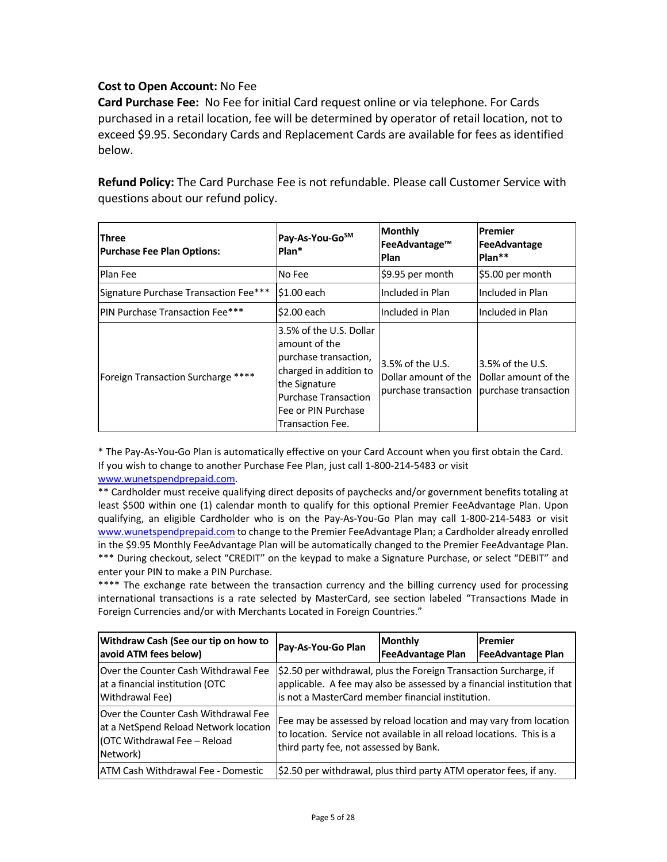# **Cost to Open Account:** No Fee

**Card Purchase Fee:** No Fee for initial Card request online or via telephone. For Cards purchased in a retail location, fee will be determined by operator of retail location, not to exceed \$9.95. Secondary Cards and Replacement Cards are available for fees as identified below.

**Refund Policy:** The Card Purchase Fee is not refundable. Please call Customer Service with questions about our refund policy.

| <b>Three</b><br><b>Purchase Fee Plan Options:</b> | Pay-As-You-Go <sup>sM</sup><br>Plan*                                                                                                                                                   | <b>Monthly</b><br>FeeAdvantage™<br>Plan                          | <b>Premier</b><br>FeeAdvantage<br>Plan**                             |
|---------------------------------------------------|----------------------------------------------------------------------------------------------------------------------------------------------------------------------------------------|------------------------------------------------------------------|----------------------------------------------------------------------|
| Plan Fee                                          | No Fee                                                                                                                                                                                 | \$9.95 per month                                                 | \$5.00 per month                                                     |
| Signature Purchase Transaction Fee***             | \$1.00 each                                                                                                                                                                            | Included in Plan                                                 | Included in Plan                                                     |
| <b>PIN Purchase Transaction Fee***</b>            | \$2.00 each                                                                                                                                                                            | Included in Plan                                                 | Included in Plan                                                     |
| Foreign Transaction Surcharge ****                | 3.5% of the U.S. Dollar<br>amount of the<br>purchase transaction,<br>charged in addition to<br>the Signature<br><b>Purchase Transaction</b><br>Fee or PIN Purchase<br>Transaction Fee. | 3.5% of the U.S.<br>Dollar amount of the<br>purchase transaction | $ 3.5\%$ of the U.S.<br>Dollar amount of the<br>purchase transaction |

\* The Pay‐As‐You‐Go Plan is automatically effective on your Card Account when you first obtain the Card. If you wish to change to another Purchase Fee Plan, just call 1‐800‐214‐5483 or visit www.wunetspendprepaid.com.

\*\* Cardholder must receive qualifying direct deposits of paychecks and/or government benefits totaling at least \$500 within one (1) calendar month to qualify for this optional Premier FeeAdvantage Plan. Upon qualifying, an eligible Cardholder who is on the Pay‐As‐You‐Go Plan may call 1‐800‐214‐5483 or visit www.wunetspendprepaid.com to change to the Premier FeeAdvantage Plan; a Cardholder already enrolled in the \$9.95 Monthly FeeAdvantage Plan will be automatically changed to the Premier FeeAdvantage Plan. \*\*\* During checkout, select "CREDIT" on the keypad to make a Signature Purchase, or select "DEBIT" and enter your PIN to make a PIN Purchase.

\*\*\*\* The exchange rate between the transaction currency and the billing currency used for processing international transactions is a rate selected by MasterCard, see section labeled "Transactions Made in Foreign Currencies and/or with Merchants Located in Foreign Countries."

| Withdraw Cash (See our tip on how to<br>avoid ATM fees below)                                                             | Pay-As-You-Go Plan                                                                                                                                                                               | Monthly<br><b>FeeAdvantage Plan</b> | lPremier<br><b>FeeAdvantage Plan</b> |
|---------------------------------------------------------------------------------------------------------------------------|--------------------------------------------------------------------------------------------------------------------------------------------------------------------------------------------------|-------------------------------------|--------------------------------------|
| Over the Counter Cash Withdrawal Fee<br>lat a financial institution (OTC<br>Withdrawal Fee)                               | \$2.50 per withdrawal, plus the Foreign Transaction Surcharge, if<br>applicable. A fee may also be assessed by a financial institution that<br>is not a MasterCard member financial institution. |                                     |                                      |
| Over the Counter Cash Withdrawal Fee<br>at a NetSpend Reload Network location<br>(OTC Withdrawal Fee - Reload<br>Network) | Fee may be assessed by reload location and may vary from location<br>to location. Service not available in all reload locations. This is a<br>third party fee, not assessed by Bank.             |                                     |                                      |
| ATM Cash Withdrawal Fee - Domestic                                                                                        | \$2.50 per withdrawal, plus third party ATM operator fees, if any.                                                                                                                               |                                     |                                      |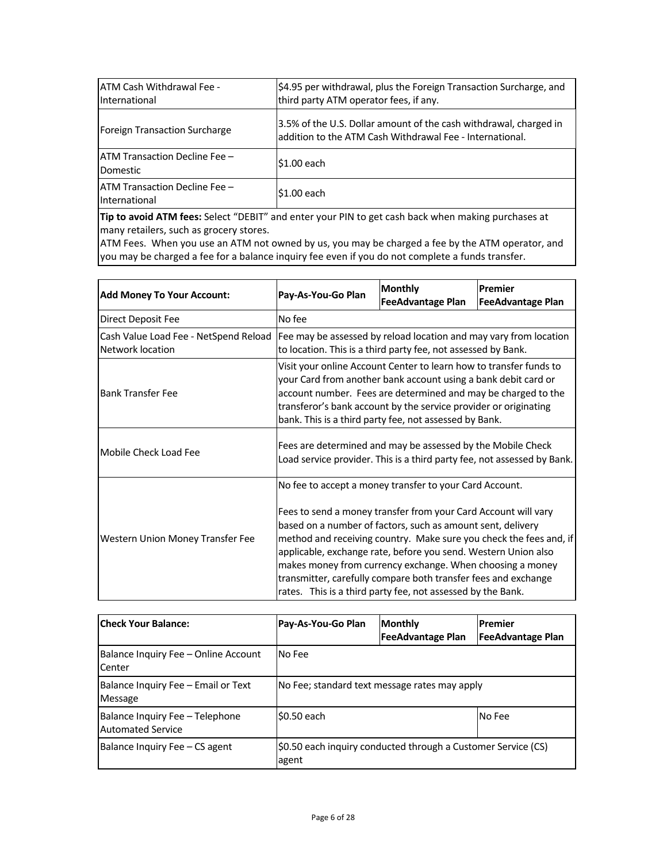| <b>JATM Cash Withdrawal Fee -</b><br>International     | \$4.95 per withdrawal, plus the Foreign Transaction Surcharge, and<br>third party ATM operator fees, if any.                  |  |  |
|--------------------------------------------------------|-------------------------------------------------------------------------------------------------------------------------------|--|--|
| <b>Foreign Transaction Surcharge</b>                   | 3.5% of the U.S. Dollar amount of the cash withdrawal, charged in<br>addition to the ATM Cash Withdrawal Fee - International. |  |  |
| <b>JATM Transaction Decline Fee -</b><br>Domestic      | \$1.00 each                                                                                                                   |  |  |
| <b>IATM Transaction Decline Fee -</b><br>International | \$1.00 each                                                                                                                   |  |  |
|                                                        |                                                                                                                               |  |  |

**Tip to avoid ATM fees:** Select "DEBIT" and enter your PIN to get cash back when making purchases at many retailers, such as grocery stores.

ATM Fees. When you use an ATM not owned by us, you may be charged a fee by the ATM operator, and you may be charged a fee for a balance inquiry fee even if you do not complete a funds transfer.

| <b>Add Money To Your Account:</b>                         | Pay-As-You-Go Plan                                                                                                                                                                                                                                                                                                                                                                                                                                                                                                             | <b>Monthly</b><br><b>FeeAdvantage Plan</b> | Premier<br><b>FeeAdvantage Plan</b> |
|-----------------------------------------------------------|--------------------------------------------------------------------------------------------------------------------------------------------------------------------------------------------------------------------------------------------------------------------------------------------------------------------------------------------------------------------------------------------------------------------------------------------------------------------------------------------------------------------------------|--------------------------------------------|-------------------------------------|
| Direct Deposit Fee                                        | No fee                                                                                                                                                                                                                                                                                                                                                                                                                                                                                                                         |                                            |                                     |
| Cash Value Load Fee - NetSpend Reload<br>Network location | Fee may be assessed by reload location and may vary from location<br>to location. This is a third party fee, not assessed by Bank.                                                                                                                                                                                                                                                                                                                                                                                             |                                            |                                     |
| <b>Bank Transfer Fee</b>                                  | Visit your online Account Center to learn how to transfer funds to<br>your Card from another bank account using a bank debit card or<br>account number. Fees are determined and may be charged to the<br>transferor's bank account by the service provider or originating<br>bank. This is a third party fee, not assessed by Bank.                                                                                                                                                                                            |                                            |                                     |
| Mobile Check Load Fee                                     | Fees are determined and may be assessed by the Mobile Check<br>Load service provider. This is a third party fee, not assessed by Bank.                                                                                                                                                                                                                                                                                                                                                                                         |                                            |                                     |
| Western Union Money Transfer Fee                          | No fee to accept a money transfer to your Card Account.<br>Fees to send a money transfer from your Card Account will vary<br>based on a number of factors, such as amount sent, delivery<br>method and receiving country. Make sure you check the fees and, if<br>applicable, exchange rate, before you send. Western Union also<br>makes money from currency exchange. When choosing a money<br>transmitter, carefully compare both transfer fees and exchange<br>rates. This is a third party fee, not assessed by the Bank. |                                            |                                     |

| <b>Check Your Balance:</b>                                  | Pay-As-You-Go Plan                                                     | <b>Monthly</b><br><b>FeeAdvantage Plan</b> | Premier<br><b>FeeAdvantage Plan</b> |
|-------------------------------------------------------------|------------------------------------------------------------------------|--------------------------------------------|-------------------------------------|
| Balance Inquiry Fee – Online Account<br>Center              | No Fee                                                                 |                                            |                                     |
| Balance Inquiry Fee - Email or Text<br>Message              | No Fee; standard text message rates may apply                          |                                            |                                     |
| Balance Inquiry Fee - Telephone<br><b>Automated Service</b> | \$0.50 each<br>No Fee                                                  |                                            |                                     |
| Balance Inquiry Fee – CS agent                              | \$0.50 each inquiry conducted through a Customer Service (CS)<br>agent |                                            |                                     |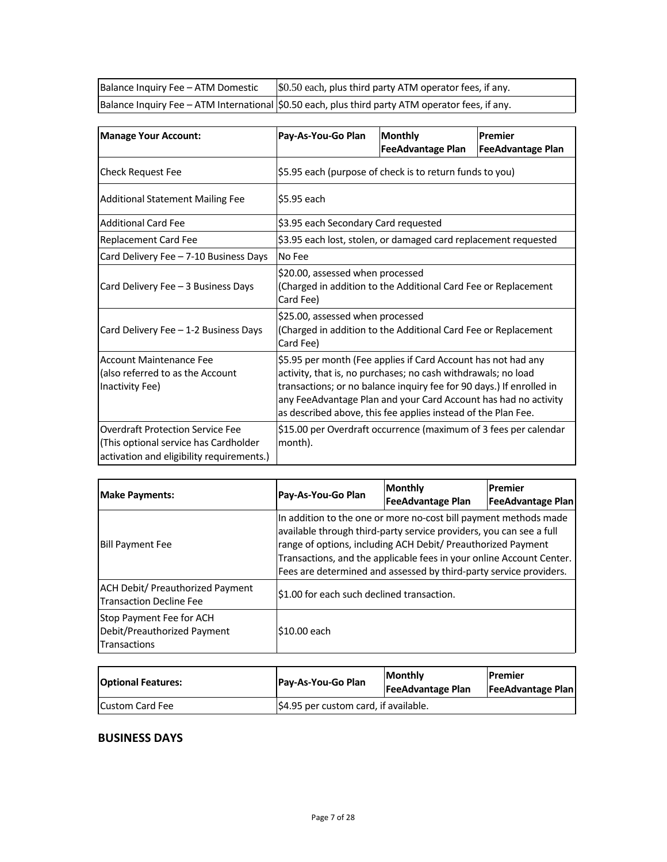<span id="page-6-0"></span>

| Balance Inquiry Fee - ATM Domestic | \$0.50 each, plus third party ATM operator fees, if any.                                           |
|------------------------------------|----------------------------------------------------------------------------------------------------|
|                                    | Balance Inquiry Fee - ATM International   \$0.50 each, plus third party ATM operator fees, if any. |

| <b>Manage Your Account:</b>                                                                                                   | Pay-As-You-Go Plan                                                                                                                                                                                                                                                                                                                         | <b>Monthly</b><br><b>FeeAdvantage Plan</b>                       | Premier<br><b>FeeAdvantage Plan</b> |
|-------------------------------------------------------------------------------------------------------------------------------|--------------------------------------------------------------------------------------------------------------------------------------------------------------------------------------------------------------------------------------------------------------------------------------------------------------------------------------------|------------------------------------------------------------------|-------------------------------------|
| <b>Check Request Fee</b>                                                                                                      | \$5.95 each (purpose of check is to return funds to you)                                                                                                                                                                                                                                                                                   |                                                                  |                                     |
| <b>Additional Statement Mailing Fee</b>                                                                                       | \$5.95 each                                                                                                                                                                                                                                                                                                                                |                                                                  |                                     |
| <b>Additional Card Fee</b>                                                                                                    | \$3.95 each Secondary Card requested                                                                                                                                                                                                                                                                                                       |                                                                  |                                     |
| Replacement Card Fee                                                                                                          |                                                                                                                                                                                                                                                                                                                                            | \$3.95 each lost, stolen, or damaged card replacement requested  |                                     |
| Card Delivery Fee - 7-10 Business Days                                                                                        | No Fee                                                                                                                                                                                                                                                                                                                                     |                                                                  |                                     |
| Card Delivery Fee - 3 Business Days                                                                                           | \$20.00, assessed when processed<br>(Charged in addition to the Additional Card Fee or Replacement<br>Card Fee)                                                                                                                                                                                                                            |                                                                  |                                     |
| Card Delivery Fee - 1-2 Business Days                                                                                         | \$25.00, assessed when processed<br>(Charged in addition to the Additional Card Fee or Replacement<br>Card Fee)                                                                                                                                                                                                                            |                                                                  |                                     |
| <b>Account Maintenance Fee</b><br>(also referred to as the Account<br>Inactivity Fee)                                         | \$5.95 per month (Fee applies if Card Account has not had any<br>activity, that is, no purchases; no cash withdrawals; no load<br>transactions; or no balance inquiry fee for 90 days.) If enrolled in<br>any FeeAdvantage Plan and your Card Account has had no activity<br>as described above, this fee applies instead of the Plan Fee. |                                                                  |                                     |
| <b>Overdraft Protection Service Fee</b><br>(This optional service has Cardholder<br>activation and eligibility requirements.) | month).                                                                                                                                                                                                                                                                                                                                    | \$15.00 per Overdraft occurrence (maximum of 3 fees per calendar |                                     |

| <b>Make Payments:</b>                                                          | Pay-As-You-Go Plan                                                                                                                                                                                                                                                                                                                                    | <b>Monthly</b><br><b>FeeAdvantage Plan</b> | Premier<br><b>FeeAdvantage Plan</b> |
|--------------------------------------------------------------------------------|-------------------------------------------------------------------------------------------------------------------------------------------------------------------------------------------------------------------------------------------------------------------------------------------------------------------------------------------------------|--------------------------------------------|-------------------------------------|
| <b>Bill Payment Fee</b>                                                        | In addition to the one or more no-cost bill payment methods made<br>available through third-party service providers, you can see a full<br>range of options, including ACH Debit/ Preauthorized Payment<br>Transactions, and the applicable fees in your online Account Center.<br>Fees are determined and assessed by third-party service providers. |                                            |                                     |
| <b>ACH Debit/ Preauthorized Payment</b><br><b>Transaction Decline Fee</b>      | \$1.00 for each such declined transaction.                                                                                                                                                                                                                                                                                                            |                                            |                                     |
| Stop Payment Fee for ACH<br>Debit/Preauthorized Payment<br><b>Transactions</b> | \$10.00 each                                                                                                                                                                                                                                                                                                                                          |                                            |                                     |

| <b>Optional Features:</b> | Pay-As-You-Go Plan                    | <b>Monthly</b><br><b>FeeAdvantage Plan</b> | <b>IPremier</b><br><b>FeeAdvantage Plan</b> |
|---------------------------|---------------------------------------|--------------------------------------------|---------------------------------------------|
| <b>Custom Card Fee</b>    | \$4.95 per custom card, if available. |                                            |                                             |

## **BUSINESS DAYS**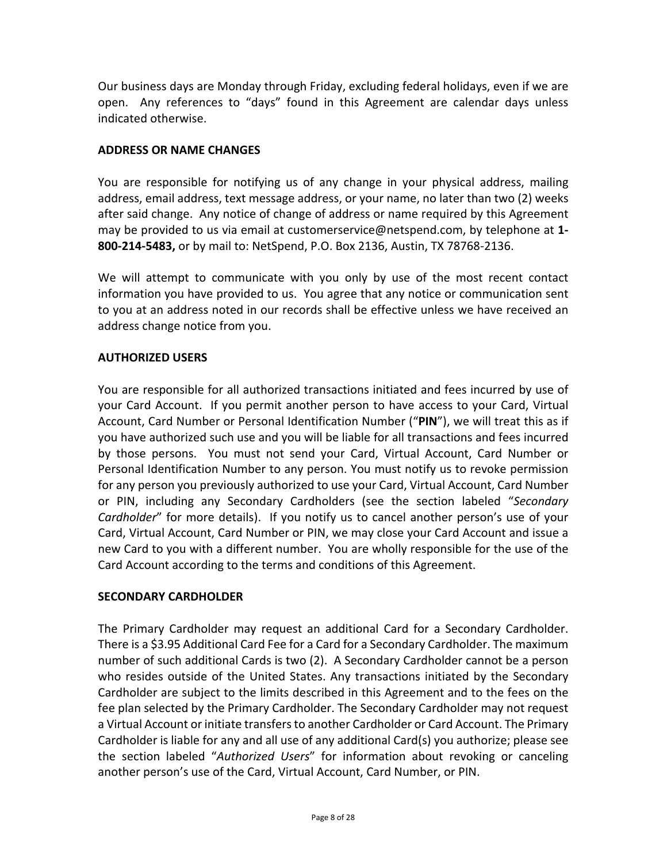<span id="page-7-0"></span>Our business days are Monday through Friday, excluding federal holidays, even if we are open. Any references to "days" found in this Agreement are calendar days unless indicated otherwise.

# **ADDRESS OR NAME CHANGES**

You are responsible for notifying us of any change in your physical address, mailing address, email address, text message address, or your name, no later than two (2) weeks after said change. Any notice of change of address or name required by this Agreement may be provided to us via email at customerservice@netspend.com, by telephone at **1‐ 800‐214‐5483,** or by mail to: NetSpend, P.O. Box 2136, Austin, TX 78768‐2136.

We will attempt to communicate with you only by use of the most recent contact information you have provided to us. You agree that any notice or communication sent to you at an address noted in our records shall be effective unless we have received an address change notice from you.

## **AUTHORIZED USERS**

You are responsible for all authorized transactions initiated and fees incurred by use of your Card Account. If you permit another person to have access to your Card, Virtual Account, Card Number or Personal Identification Number ("**PIN**"), we will treat this as if you have authorized such use and you will be liable for all transactions and fees incurred by those persons. You must not send your Card, Virtual Account, Card Number or Personal Identification Number to any person. You must notify us to revoke permission for any person you previously authorized to use your Card, Virtual Account, Card Number or PIN, including any Secondary Cardholders (see the section labeled "*Secondary Cardholder*" for more details). If you notify us to cancel another person's use of your Card, Virtual Account, Card Number or PIN, we may close your Card Account and issue a new Card to you with a different number. You are wholly responsible for the use of the Card Account according to the terms and conditions of this Agreement.

## **SECONDARY CARDHOLDER**

The Primary Cardholder may request an additional Card for a Secondary Cardholder. There is a \$3.95 Additional Card Fee for a Card for a Secondary Cardholder. The maximum number of such additional Cards is two (2). A Secondary Cardholder cannot be a person who resides outside of the United States. Any transactions initiated by the Secondary Cardholder are subject to the limits described in this Agreement and to the fees on the fee plan selected by the Primary Cardholder. The Secondary Cardholder may not request a Virtual Account or initiate transfers to another Cardholder or Card Account. The Primary Cardholder is liable for any and all use of any additional Card(s) you authorize; please see the section labeled "*Authorized Users*" for information about revoking or canceling another person's use of the Card, Virtual Account, Card Number, or PIN.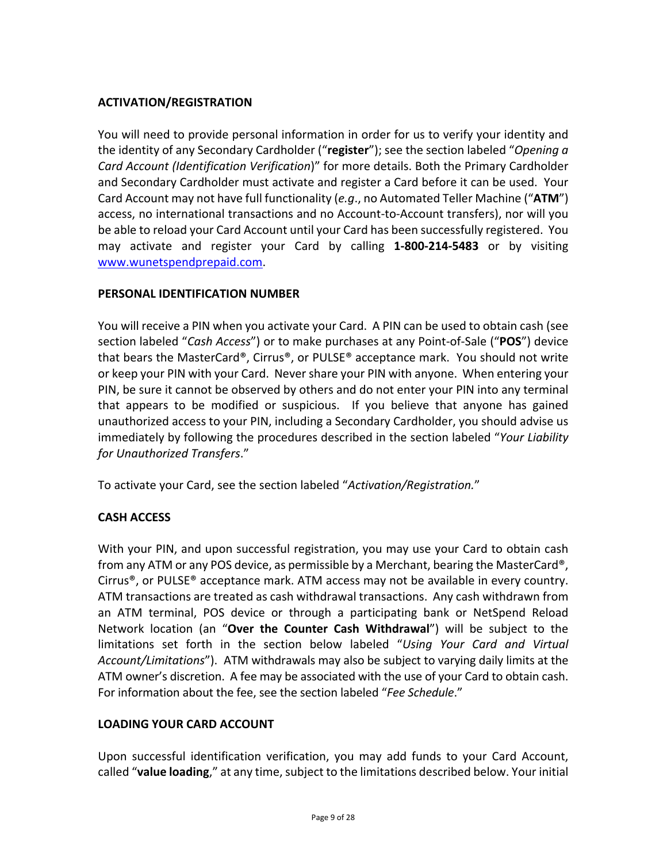# <span id="page-8-0"></span>**ACTIVATION/REGISTRATION**

You will need to provide personal information in order for us to verify your identity and the identity of any Secondary Cardholder ("**register**"); see the section labeled "*Opening a Card Account (Identification Verification*)" for more details. Both the Primary Cardholder and Secondary Cardholder must activate and register a Card before it can be used. Your Card Account may not have full functionality (*e.g*., no Automated Teller Machine ("**ATM**") access, no international transactions and no Account‐to‐Account transfers), nor will you be able to reload your Card Account until your Card has been successfully registered. You may activate and register your Card by calling **1‐800‐214‐5483** or by visiting www.wunetspendprepaid.com.

# **PERSONAL IDENTIFICATION NUMBER**

You will receive a PIN when you activate your Card. A PIN can be used to obtain cash (see section labeled "*Cash Access*") or to make purchases at any Point‐of‐Sale ("**POS**") device that bears the MasterCard®, Cirrus®, or PULSE® acceptance mark. You should not write or keep your PIN with your Card. Nevershare your PIN with anyone. When entering your PIN, be sure it cannot be observed by others and do not enter your PIN into any terminal that appears to be modified or suspicious. If you believe that anyone has gained unauthorized access to your PIN, including a Secondary Cardholder, you should advise us immediately by following the procedures described in the section labeled "*Your Liability for Unauthorized Transfers*."

To activate your Card, see the section labeled "*Activation/Registration.*"

# **CASH ACCESS**

With your PIN, and upon successful registration, you may use your Card to obtain cash from any ATM or any POS device, as permissible by a Merchant, bearing the MasterCard®, Cirrus<sup>®</sup>, or PULSE<sup>®</sup> acceptance mark. ATM access may not be available in every country. ATM transactions are treated as cash withdrawal transactions. Any cash withdrawn from an ATM terminal, POS device or through a participating bank or NetSpend Reload Network location (an "**Over the Counter Cash Withdrawal**") will be subject to the limitations set forth in the section below labeled "*Using Your Card and Virtual Account/Limitations*"). ATM withdrawals may also be subject to varying daily limits at the ATM owner's discretion. A fee may be associated with the use of your Card to obtain cash. For information about the fee, see the section labeled "*Fee Schedule*."

# **LOADING YOUR CARD ACCOUNT**

Upon successful identification verification, you may add funds to your Card Account, ralled "value loading," at any time, subject to the limitations described below. Your initial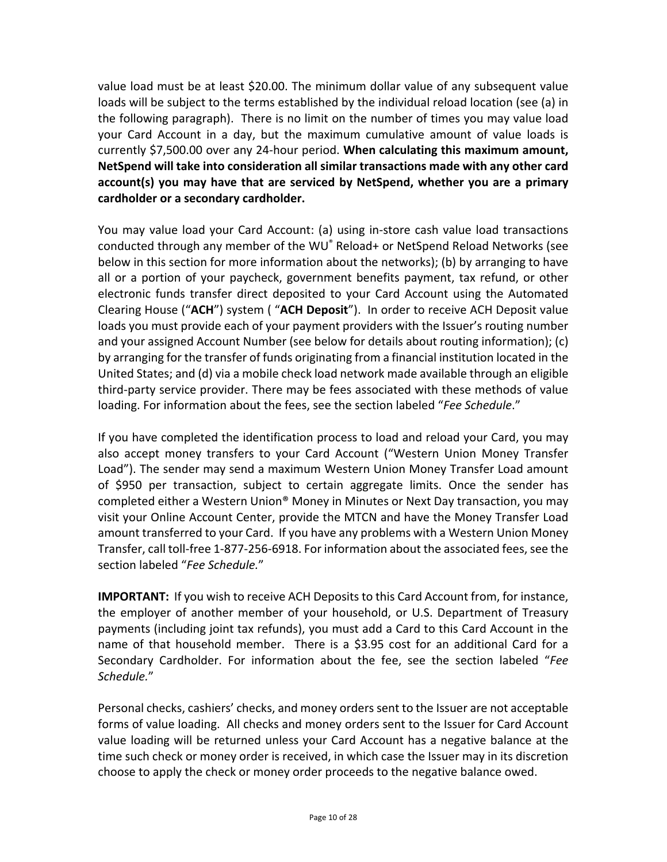value load must be at least \$20.00. The minimum dollar value of any subsequent value loads will be subject to the terms established by the individual reload location (see (a) in the following paragraph). There is no limit on the number of times you may value load your Card Account in a day, but the maximum cumulative amount of value loads is currently \$7,500.00 over any 24‐hour period. **When calculating this maximum amount, NetSpend will take into consideration all similar transactions made with any other card account(s) you may have that are serviced by NetSpend, whether you are a primary cardholder or a secondary cardholder.**

You may value load your Card Account: (a) using in‐store cash value load transactions conducted through any member of the WU® Reload+ or NetSpend Reload Networks (see below in this section for more information about the networks); (b) by arranging to have all or a portion of your paycheck, government benefits payment, tax refund, or other electronic funds transfer direct deposited to your Card Account using the Automated Clearing House ("**ACH**") system ( "**ACH Deposit**"). In order to receive ACH Deposit value loads you must provide each of your payment providers with the Issuer's routing number and your assigned Account Number (see below for details about routing information); (c) by arranging for the transfer of funds originating from a financial institution located in the United States; and (d) via a mobile check load network made available through an eligible third‐party service provider. There may be fees associated with these methods of value loading. For information about the fees, see the section labeled "*Fee Schedule*."

If you have completed the identification process to load and reload your Card, you may also accept money transfers to your Card Account ("Western Union Money Transfer Load"). The sender may send a maximum Western Union Money Transfer Load amount of \$950 per transaction, subject to certain aggregate limits. Once the sender has completed either a Western Union® Money in Minutes or Next Day transaction, you may visit your Online Account Center, provide the MTCN and have the Money Transfer Load amount transferred to your Card. If you have any problems with a Western Union Money Transfer, call toll‐free 1‐877‐256‐6918. For information about the associated fees,see the section labeled "*Fee Schedule.*"

**IMPORTANT:** If you wish to receive ACH Deposits to this Card Account from, for instance, the employer of another member of your household, or U.S. Department of Treasury payments (including joint tax refunds), you must add a Card to this Card Account in the name of that household member. There is a \$3.95 cost for an additional Card for a Secondary Cardholder. For information about the fee, see the section labeled "*Fee Schedule.*"

Personal checks, cashiers' checks, and money orderssent to the Issuer are not acceptable forms of value loading. All checks and money orders sent to the Issuer for Card Account value loading will be returned unless your Card Account has a negative balance at the time such check or money order is received, in which case the Issuer may in its discretion choose to apply the check or money order proceeds to the negative balance owed.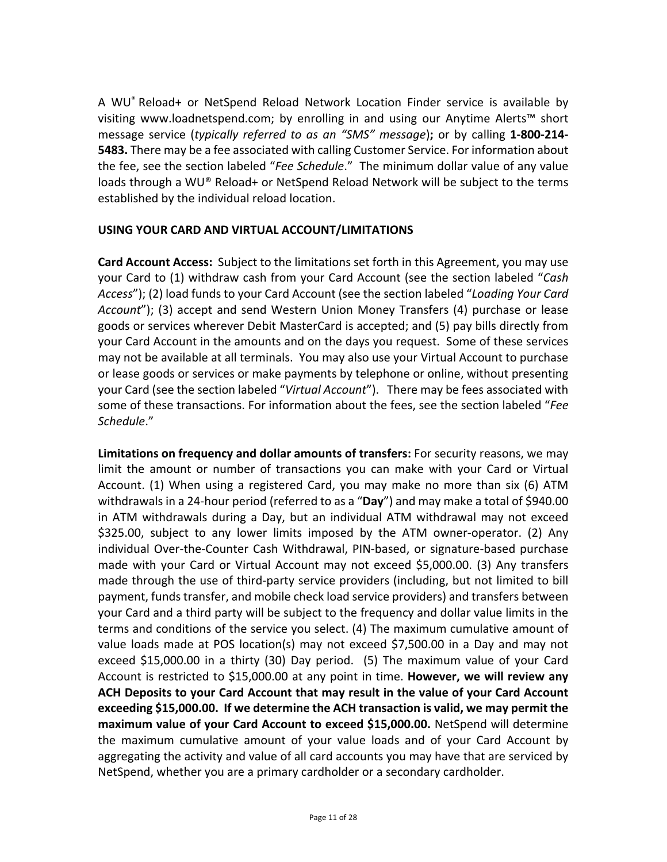<span id="page-10-0"></span>A WU® Reload+ or NetSpend Reload Network Location Finder service is available by visiting www.loadnetspend.com; by enrolling in and using our Anytime Alerts™ short message service (*typically referred to as an "SMS" message*)**;** or by calling **1‐800‐214‐ 5483.** There may be a fee associated with calling Customer Service. For information about the fee, see the section labeled "*Fee Schedule*." The minimum dollar value of any value loads through a WU® Reload+ or NetSpend Reload Network will be subject to the terms established by the individual reload location.

# **USING YOUR CARD AND VIRTUAL ACCOUNT/LIMITATIONS**

**Card Account Access:** Subject to the limitations set forth in this Agreement, you may use your Card to (1) withdraw cash from your Card Account (see the section labeled "*Cash Access*"); (2) load funds to your Card Account (see the section labeled "*Loading Your Card Account*"); (3) accept and send Western Union Money Transfers (4) purchase or lease goods or services wherever Debit MasterCard is accepted; and (5) pay bills directly from your Card Account in the amounts and on the days you request. Some of these services may not be available at all terminals. You may also use your Virtual Account to purchase or lease goods or services or make payments by telephone or online, without presenting your Card (see the section labeled "*Virtual Account*"). There may be fees associated with some of these transactions. For information about the fees, see the section labeled "*Fee Schedule*."

**Limitations on frequency and dollar amounts of transfers:** For security reasons, we may limit the amount or number of transactions you can make with your Card or Virtual Account. (1) When using a registered Card, you may make no more than six (6) ATM withdrawals in a 24‐hour period (referred to as a "**Day**") and may make a total of \$940.00 in ATM withdrawals during a Day, but an individual ATM withdrawal may not exceed \$325.00, subject to any lower limits imposed by the ATM owner‐operator. (2) Any individual Over‐the‐Counter Cash Withdrawal, PIN‐based, or signature‐based purchase made with your Card or Virtual Account may not exceed \$5,000.00. (3) Any transfers made through the use of third‐party service providers (including, but not limited to bill payment, funds transfer, and mobile check load service providers) and transfers between your Card and a third party will be subject to the frequency and dollar value limits in the terms and conditions of the service you select. (4) The maximum cumulative amount of value loads made at POS location(s) may not exceed \$7,500.00 in a Day and may not exceed \$15,000.00 in a thirty (30) Day period. (5) The maximum value of your Card Account is restricted to \$15,000.00 at any point in time. **However, we will review any ACH Deposits to your Card Account that may result in the value of your Card Account exceeding \$15,000.00. If we determine the ACH transaction is valid, we may permit the maximum value of your Card Account to exceed \$15,000.00.** NetSpend will determine the maximum cumulative amount of your value loads and of your Card Account by aggregating the activity and value of all card accounts you may have that are serviced by NetSpend, whether you are a primary cardholder or a secondary cardholder.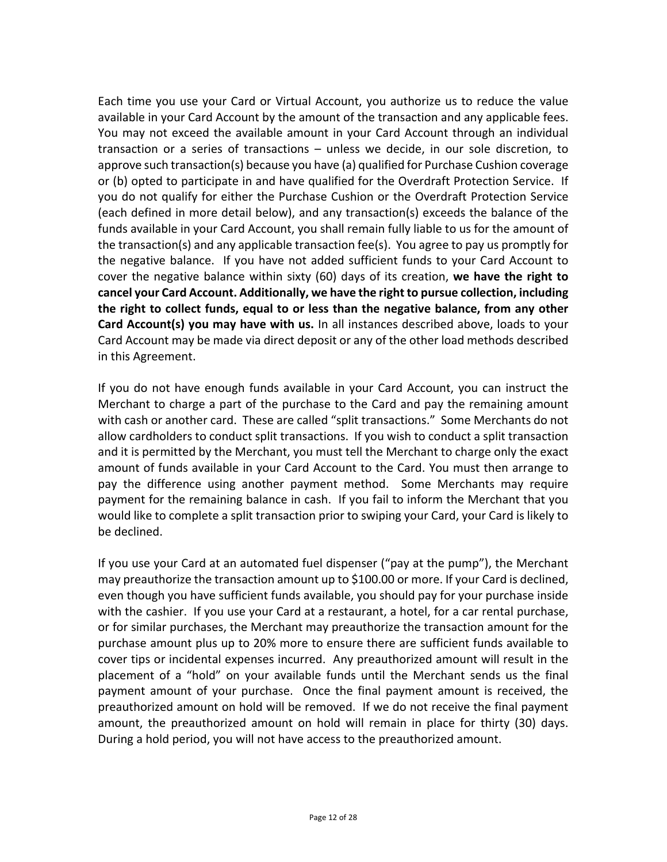Each time you use your Card or Virtual Account, you authorize us to reduce the value available in your Card Account by the amount of the transaction and any applicable fees. You may not exceed the available amount in your Card Account through an individual transaction or a series of transactions – unless we decide, in our sole discretion, to approve such transaction(s) because you have (a) qualified for Purchase Cushion coverage or (b) opted to participate in and have qualified for the Overdraft Protection Service. If you do not qualify for either the Purchase Cushion or the Overdraft Protection Service (each defined in more detail below), and any transaction(s) exceeds the balance of the funds available in your Card Account, you shall remain fully liable to us for the amount of the transaction(s) and any applicable transaction fee(s). You agree to pay us promptly for the negative balance. If you have not added sufficient funds to your Card Account to cover the negative balance within sixty (60) days of its creation, **we have the right to cancel your Card Account. Additionally, we have the right to pursue collection, including the right to collect funds, equal to or less than the negative balance, from any other Card Account(s) you may have with us.** In all instances described above, loads to your Card Account may be made via direct deposit or any of the other load methods described in this Agreement.

If you do not have enough funds available in your Card Account, you can instruct the Merchant to charge a part of the purchase to the Card and pay the remaining amount with cash or another card. These are called "split transactions." Some Merchants do not allow cardholders to conduct split transactions. If you wish to conduct a split transaction and it is permitted by the Merchant, you must tell the Merchant to charge only the exact amount of funds available in your Card Account to the Card. You must then arrange to pay the difference using another payment method. Some Merchants may require payment for the remaining balance in cash. If you fail to inform the Merchant that you would like to complete a split transaction prior to swiping your Card, your Card is likely to be declined.

If you use your Card at an automated fuel dispenser ("pay at the pump"), the Merchant may preauthorize the transaction amount up to \$100.00 or more. If your Card is declined, even though you have sufficient funds available, you should pay for your purchase inside with the cashier. If you use your Card at a restaurant, a hotel, for a car rental purchase, or for similar purchases, the Merchant may preauthorize the transaction amount for the purchase amount plus up to 20% more to ensure there are sufficient funds available to cover tips or incidental expenses incurred. Any preauthorized amount will result in the placement of a "hold" on your available funds until the Merchant sends us the final payment amount of your purchase. Once the final payment amount is received, the preauthorized amount on hold will be removed. If we do not receive the final payment amount, the preauthorized amount on hold will remain in place for thirty (30) days. During a hold period, you will not have access to the preauthorized amount.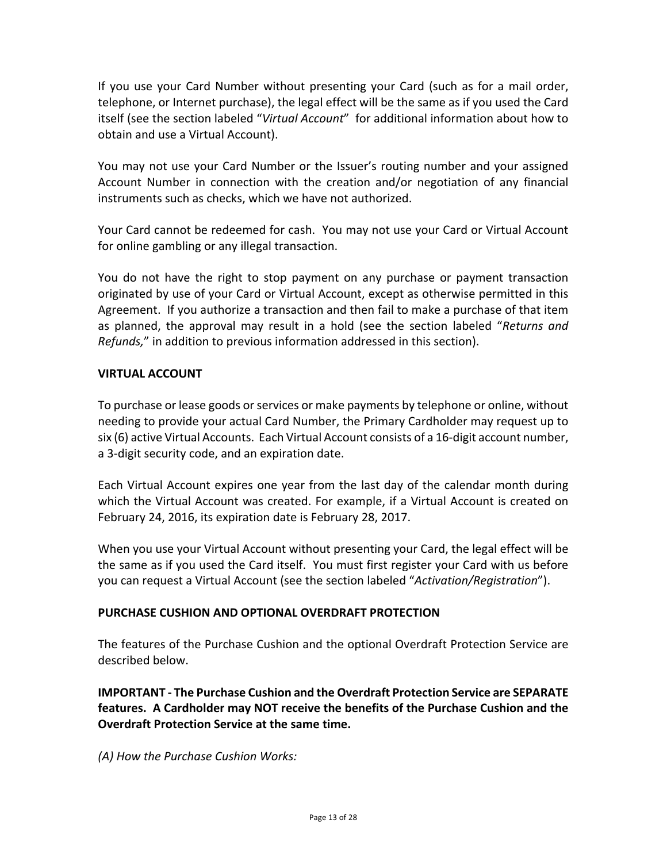<span id="page-12-0"></span>If you use your Card Number without presenting your Card (such as for a mail order, telephone, or Internet purchase), the legal effect will be the same as if you used the Card itself (see the section labeled "*Virtual Account*" for additional information about how to obtain and use a Virtual Account).

You may not use your Card Number or the Issuer's routing number and your assigned Account Number in connection with the creation and/or negotiation of any financial instruments such as checks, which we have not authorized.

Your Card cannot be redeemed for cash. You may not use your Card or Virtual Account for online gambling or any illegal transaction.

You do not have the right to stop payment on any purchase or payment transaction originated by use of your Card or Virtual Account, except as otherwise permitted in this Agreement. If you authorize a transaction and then fail to make a purchase of that item as planned, the approval may result in a hold (see the section labeled "*Returns and Refunds,*" in addition to previous information addressed in this section).

# **VIRTUAL ACCOUNT**

To purchase or lease goods or services or make payments by telephone or online, without needing to provide your actual Card Number, the Primary Cardholder may request up to six (6) active Virtual Accounts. Each Virtual Account consists of a 16‐digit account number, a 3‐digit security code, and an expiration date.

Each Virtual Account expires one year from the last day of the calendar month during which the Virtual Account was created. For example, if a Virtual Account is created on February 24, 2016, its expiration date is February 28, 2017.

When you use your Virtual Account without presenting your Card, the legal effect will be the same as if you used the Card itself. You must first register your Card with us before you can request a Virtual Account (see the section labeled "*Activation/Registration*").

## **PURCHASE CUSHION AND OPTIONAL OVERDRAFT PROTECTION**

The features of the Purchase Cushion and the optional Overdraft Protection Service are described below.

**IMPORTANT ‐ The Purchase Cushion and the Overdraft Protection Service are SEPARATE features. A Cardholder may NOT receive the benefits of the Purchase Cushion and the Overdraft Protection Service at the same time.** 

*(A) How the Purchase Cushion Works:*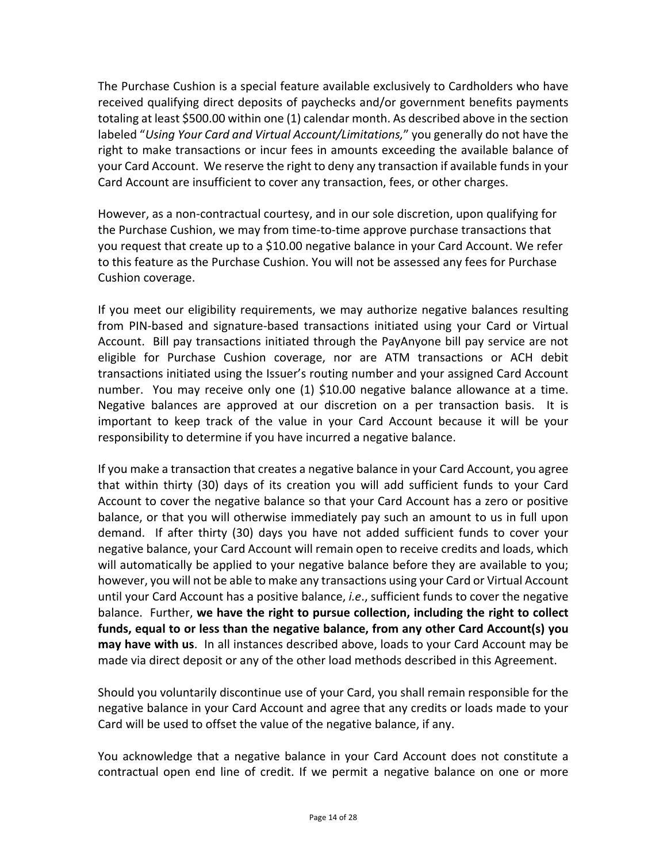The Purchase Cushion is a special feature available exclusively to Cardholders who have received qualifying direct deposits of paychecks and/or government benefits payments totaling at least \$500.00 within one (1) calendar month. As described above in the section labeled "*Using Your Card and Virtual Account/Limitations,*" you generally do not have the right to make transactions or incur fees in amounts exceeding the available balance of your Card Account. We reserve the right to deny any transaction if available fundsin your Card Account are insufficient to cover any transaction, fees, or other charges.

However, as a non‐contractual courtesy, and in our sole discretion, upon qualifying for the Purchase Cushion, we may from time‐to‐time approve purchase transactions that you request that create up to a \$10.00 negative balance in your Card Account. We refer to this feature as the Purchase Cushion. You will not be assessed any fees for Purchase Cushion coverage.

If you meet our eligibility requirements, we may authorize negative balances resulting from PIN‐based and signature‐based transactions initiated using your Card or Virtual Account. Bill pay transactions initiated through the PayAnyone bill pay service are not eligible for Purchase Cushion coverage, nor are ATM transactions or ACH debit transactions initiated using the Issuer's routing number and your assigned Card Account number. You may receive only one (1) \$10.00 negative balance allowance at a time. Negative balances are approved at our discretion on a per transaction basis. It is important to keep track of the value in your Card Account because it will be your responsibility to determine if you have incurred a negative balance.

If you make a transaction that creates a negative balance in your Card Account, you agree that within thirty (30) days of its creation you will add sufficient funds to your Card Account to cover the negative balance so that your Card Account has a zero or positive balance, or that you will otherwise immediately pay such an amount to us in full upon demand. If after thirty (30) days you have not added sufficient funds to cover your negative balance, your Card Account will remain open to receive credits and loads, which will automatically be applied to your negative balance before they are available to you; however, you will not be able to make any transactions using your Card or Virtual Account until your Card Account has a positive balance, *i.e*., sufficient funds to cover the negative balance. Further, **we have the right to pursue collection, including the right to collect funds, equal to or less than the negative balance, from any other Card Account(s) you may have with us**. In all instances described above, loads to your Card Account may be made via direct deposit or any of the other load methods described in this Agreement.

Should you voluntarily discontinue use of your Card, you shall remain responsible for the negative balance in your Card Account and agree that any credits or loads made to your Card will be used to offset the value of the negative balance, if any.

You acknowledge that a negative balance in your Card Account does not constitute a contractual open end line of credit. If we permit a negative balance on one or more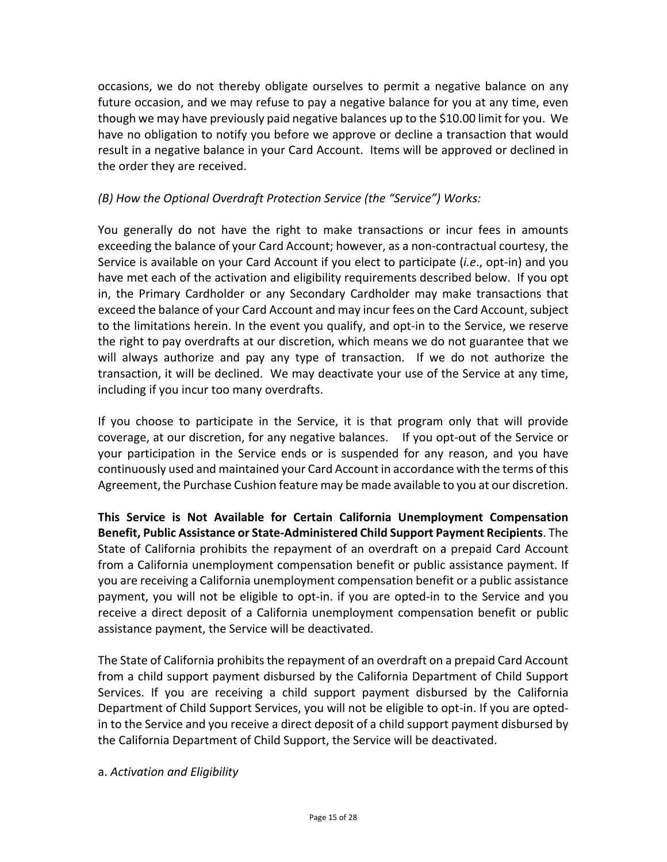occasions, we do not thereby obligate ourselves to permit a negative balance on any future occasion, and we may refuse to pay a negative balance for you at any time, even though we may have previously paid negative balances up to the \$10.00 limit for you. We have no obligation to notify you before we approve or decline a transaction that would result in a negative balance in your Card Account. Items will be approved or declined in the order they are received.

# *(B) How the Optional Overdraft Protection Service (the "Service") Works:*

You generally do not have the right to make transactions or incur fees in amounts exceeding the balance of your Card Account; however, as a non‐contractual courtesy, the Service is available on your Card Account if you elect to participate (*i.e*., opt‐in) and you have met each of the activation and eligibility requirements described below. If you opt in, the Primary Cardholder or any Secondary Cardholder may make transactions that exceed the balance of your Card Account and may incur fees on the Card Account, subject to the limitations herein. In the event you qualify, and opt‐in to the Service, we reserve the right to pay overdrafts at our discretion, which means we do not guarantee that we will always authorize and pay any type of transaction. If we do not authorize the transaction, it will be declined. We may deactivate your use of the Service at any time, including if you incur too many overdrafts.

If you choose to participate in the Service, it is that program only that will provide coverage, at our discretion, for any negative balances. If you opt‐out of the Service or your participation in the Service ends or is suspended for any reason, and you have continuously used and maintained your Card Account in accordance with the terms of this Agreement, the Purchase Cushion feature may be made available to you at our discretion.

**This Service is Not Available for Certain California Unemployment Compensation Benefit, Public Assistance or State‐Administered Child Support Payment Recipients**. The State of California prohibits the repayment of an overdraft on a prepaid Card Account from a California unemployment compensation benefit or public assistance payment. If you are receiving a California unemployment compensation benefit or a public assistance payment, you will not be eligible to opt‐in. if you are opted‐in to the Service and you receive a direct deposit of a California unemployment compensation benefit or public assistance payment, the Service will be deactivated.

The State of California prohibits the repayment of an overdraft on a prepaid Card Account from a child support payment disbursed by the California Department of Child Support Services. If you are receiving a child support payment disbursed by the California Department of Child Support Services, you will not be eligible to opt-in. If you are optedin to the Service and you receive a direct deposit of a child support payment disbursed by the California Department of Child Support, the Service will be deactivated.

#### a. *Activation and Eligibility*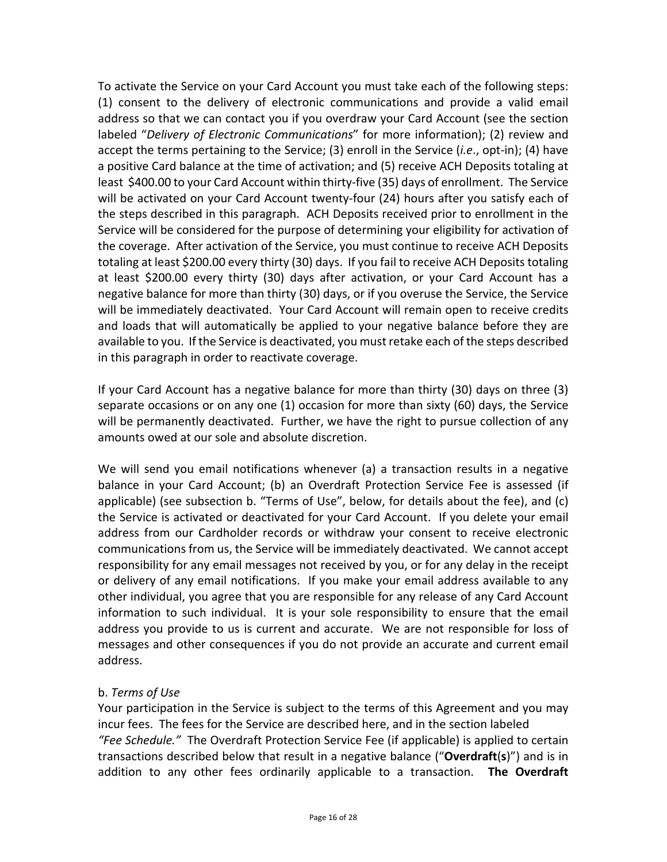To activate the Service on your Card Account you must take each of the following steps: (1) consent to the delivery of electronic communications and provide a valid email address so that we can contact you if you overdraw your Card Account (see the section labeled "*Delivery of Electronic Communications*" for more information); (2) review and accept the terms pertaining to the Service; (3) enroll in the Service (*i.e*., opt‐in); (4) have a positive Card balance at the time of activation; and (5) receive ACH Deposits totaling at least \$400.00 to your Card Account within thirty-five (35) days of enrollment. The Service will be activated on your Card Account twenty-four (24) hours after you satisfy each of the steps described in this paragraph. ACH Deposits received prior to enrollment in the Service will be considered for the purpose of determining your eligibility for activation of the coverage. After activation of the Service, you must continue to receive ACH Deposits totaling at least \$200.00 every thirty (30) days. If you fail to receive ACH Deposits totaling at least \$200.00 every thirty (30) days after activation, or your Card Account has a negative balance for more than thirty (30) days, or if you overuse the Service, the Service will be immediately deactivated. Your Card Account will remain open to receive credits and loads that will automatically be applied to your negative balance before they are available to you. If the Service is deactivated, you must retake each of the steps described in this paragraph in order to reactivate coverage.

If your Card Account has a negative balance for more than thirty (30) days on three (3) separate occasions or on any one (1) occasion for more than sixty (60) days, the Service will be permanently deactivated. Further, we have the right to pursue collection of any amounts owed at our sole and absolute discretion.

We will send you email notifications whenever (a) a transaction results in a negative balance in your Card Account; (b) an Overdraft Protection Service Fee is assessed (if applicable) (see subsection b. "Terms of Use", below, for details about the fee), and (c) the Service is activated or deactivated for your Card Account. If you delete your email address from our Cardholder records or withdraw your consent to receive electronic communications from us, the Service will be immediately deactivated. We cannot accept responsibility for any email messages not received by you, or for any delay in the receipt or delivery of any email notifications. If you make your email address available to any other individual, you agree that you are responsible for any release of any Card Account information to such individual. It is your sole responsibility to ensure that the email address you provide to us is current and accurate. We are not responsible for loss of messages and other consequences if you do not provide an accurate and current email address.

# b. *Terms of Use*

Your participation in the Service is subject to the terms of this Agreement and you may incur fees. The fees for the Service are described here, and in the section labeled *"Fee Schedule."* The Overdraft Protection Service Fee (if applicable) is applied to certain transactions described below that result in a negative balance ("**Overdraft**(**s**)") and is in addition to any other fees ordinarily applicable to a transaction. **The Overdraft**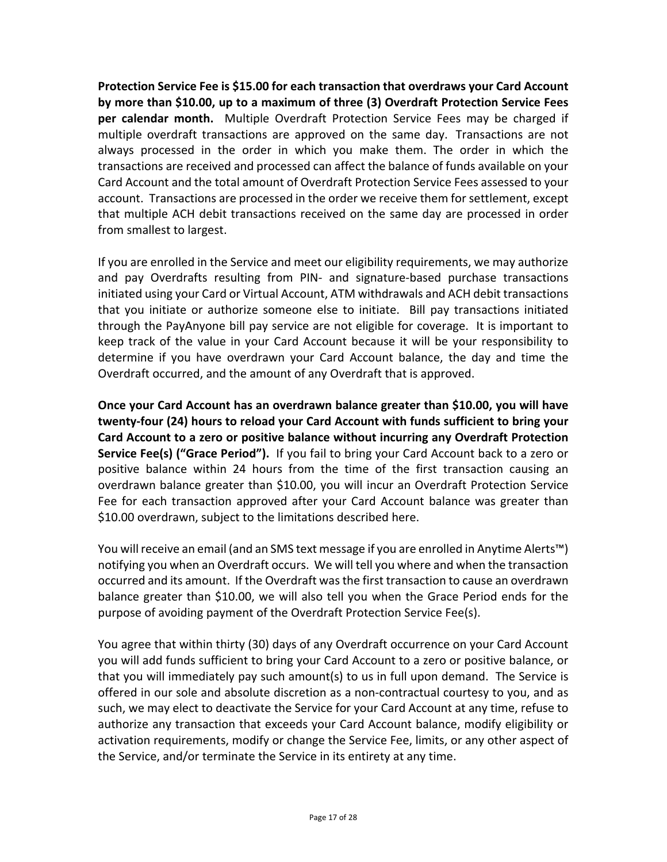**Protection Service Fee is \$15.00 for each transaction that overdraws your Card Account by more than \$10.00, up to a maximum of three (3) Overdraft Protection Service Fees per calendar month.** Multiple Overdraft Protection Service Fees may be charged if multiple overdraft transactions are approved on the same day. Transactions are not always processed in the order in which you make them. The order in which the transactions are received and processed can affect the balance of funds available on your Card Account and the total amount of Overdraft Protection Service Fees assessed to your account. Transactions are processed in the order we receive them for settlement, except that multiple ACH debit transactions received on the same day are processed in order from smallest to largest.

If you are enrolled in the Service and meet our eligibility requirements, we may authorize and pay Overdrafts resulting from PIN‐ and signature‐based purchase transactions initiated using your Card or Virtual Account, ATM withdrawals and ACH debit transactions that you initiate or authorize someone else to initiate. Bill pay transactions initiated through the PayAnyone bill pay service are not eligible for coverage. It is important to keep track of the value in your Card Account because it will be your responsibility to determine if you have overdrawn your Card Account balance, the day and time the Overdraft occurred, and the amount of any Overdraft that is approved.

**Once your Card Account has an overdrawn balance greater than \$10.00, you will have twenty‐four (24) hours to reload your Card Account with funds sufficient to bring your Card Account to a zero or positive balance without incurring any Overdraft Protection Service Fee(s) ("Grace Period").** If you fail to bring your Card Account back to a zero or positive balance within 24 hours from the time of the first transaction causing an overdrawn balance greater than \$10.00, you will incur an Overdraft Protection Service Fee for each transaction approved after your Card Account balance was greater than \$10.00 overdrawn, subject to the limitations described here.

You will receive an email (and an SMS text message if you are enrolled in Anytime Alerts™) notifying you when an Overdraft occurs. We will tell you where and when the transaction occurred and its amount. If the Overdraft wasthe first transaction to cause an overdrawn balance greater than \$10.00, we will also tell you when the Grace Period ends for the purpose of avoiding payment of the Overdraft Protection Service Fee(s).

You agree that within thirty (30) days of any Overdraft occurrence on your Card Account you will add funds sufficient to bring your Card Account to a zero or positive balance, or that you will immediately pay such amount(s) to us in full upon demand. The Service is offered in our sole and absolute discretion as a non‐contractual courtesy to you, and as such, we may elect to deactivate the Service for your Card Account at any time, refuse to authorize any transaction that exceeds your Card Account balance, modify eligibility or activation requirements, modify or change the Service Fee, limits, or any other aspect of the Service, and/or terminate the Service in its entirety at any time.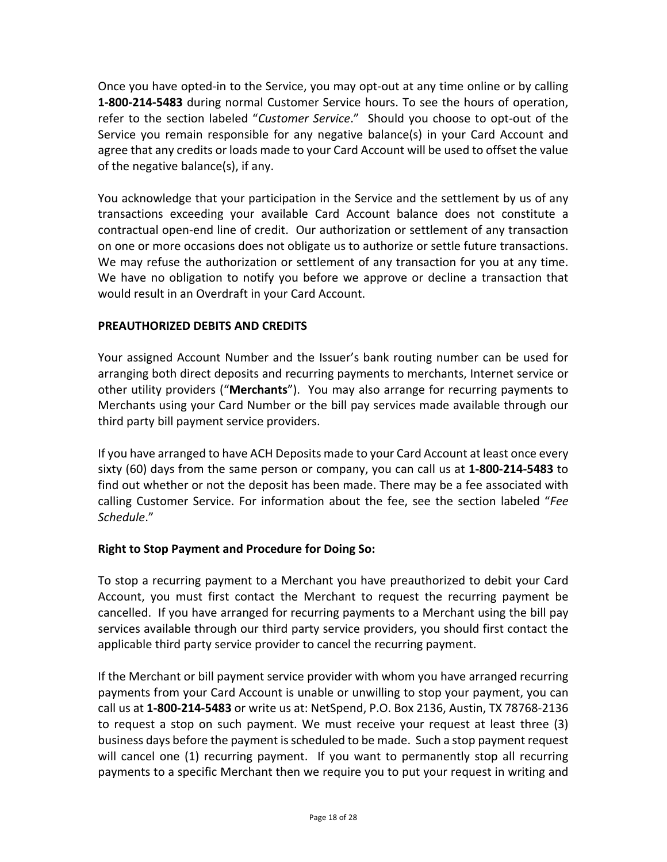<span id="page-17-0"></span>Once you have opted‐in to the Service, you may opt‐out at any time online or by calling **1‐800‐214‐5483** during normal Customer Service hours. To see the hours of operation, refer to the section labeled "*Customer Service*." Should you choose to opt‐out of the Service you remain responsible for any negative balance(s) in your Card Account and agree that any credits or loads made to your Card Account will be used to offset the value of the negative balance(s), if any.

You acknowledge that your participation in the Service and the settlement by us of any transactions exceeding your available Card Account balance does not constitute a contractual open‐end line of credit. Our authorization or settlement of any transaction on one or more occasions does not obligate us to authorize or settle future transactions. We may refuse the authorization or settlement of any transaction for you at any time. We have no obligation to notify you before we approve or decline a transaction that would result in an Overdraft in your Card Account.

# **PREAUTHORIZED DEBITS AND CREDITS**

Your assigned Account Number and the Issuer's bank routing number can be used for arranging both direct deposits and recurring payments to merchants, Internet service or other utility providers ("**Merchants**"). You may also arrange for recurring payments to Merchants using your Card Number or the bill pay services made available through our third party bill payment service providers.

If you have arranged to have ACH Deposits made to your Card Account at least once every sixty (60) days from the same person or company, you can call us at **1‐800‐214‐5483** to find out whether or not the deposit has been made. There may be a fee associated with calling Customer Service. For information about the fee, see the section labeled "*Fee Schedule*."

## **Right to Stop Payment and Procedure for Doing So:**

To stop a recurring payment to a Merchant you have preauthorized to debit your Card Account, you must first contact the Merchant to request the recurring payment be cancelled. If you have arranged for recurring payments to a Merchant using the bill pay services available through our third party service providers, you should first contact the applicable third party service provider to cancel the recurring payment.

If the Merchant or bill payment service provider with whom you have arranged recurring payments from your Card Account is unable or unwilling to stop your payment, you can call us at **1‐800‐214‐5483** or write us at: NetSpend, P.O. Box 2136, Austin, TX 78768‐2136 to request a stop on such payment. We must receive your request at least three (3) business days before the payment isscheduled to be made. Such a stop payment request will cancel one (1) recurring payment. If you want to permanently stop all recurring payments to a specific Merchant then we require you to put your request in writing and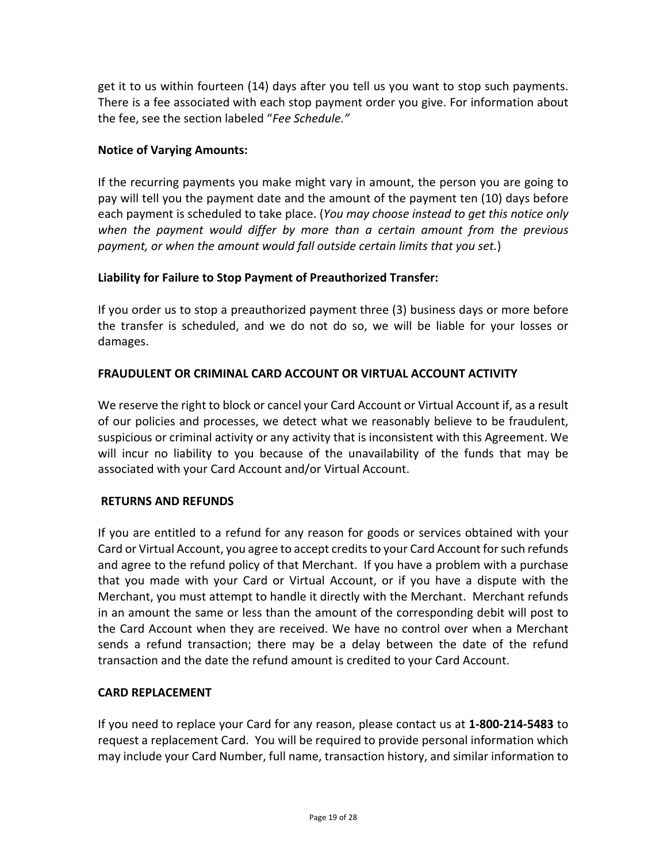<span id="page-18-0"></span>get it to us within fourteen (14) days after you tell us you want to stop such payments. There is a fee associated with each stop payment order you give. For information about the fee, see the section labeled "*Fee Schedule."*

# **Notice of Varying Amounts:**

If the recurring payments you make might vary in amount, the person you are going to pay will tell you the payment date and the amount of the payment ten (10) days before each payment is scheduled to take place. (*You may choose instead to get this notice only when the payment would differ by more than a certain amount from the previous payment, or when the amount would fall outside certain limits that you set.*)

# **Liability for Failure to Stop Payment of Preauthorized Transfer:**

If you order us to stop a preauthorized payment three (3) business days or more before the transfer is scheduled, and we do not do so, we will be liable for your losses or damages.

# **FRAUDULENT OR CRIMINAL CARD ACCOUNT OR VIRTUAL ACCOUNT ACTIVITY**

We reserve the right to block or cancel your Card Account or Virtual Account if, as a result of our policies and processes, we detect what we reasonably believe to be fraudulent, suspicious or criminal activity or any activity that is inconsistent with this Agreement. We will incur no liability to you because of the unavailability of the funds that may be associated with your Card Account and/or Virtual Account.

## **RETURNS AND REFUNDS**

If you are entitled to a refund for any reason for goods or services obtained with your Card or Virtual Account, you agree to accept credits to your Card Account for such refunds and agree to the refund policy of that Merchant. If you have a problem with a purchase that you made with your Card or Virtual Account, or if you have a dispute with the Merchant, you must attempt to handle it directly with the Merchant. Merchant refunds in an amount the same or less than the amount of the corresponding debit will post to the Card Account when they are received. We have no control over when a Merchant sends a refund transaction; there may be a delay between the date of the refund transaction and the date the refund amount is credited to your Card Account.

## **CARD REPLACEMENT**

If you need to replace your Card for any reason, please contact us at **1‐800‐214‐5483** to request a replacement Card. You will be required to provide personal information which may include your Card Number, full name, transaction history, and similar information to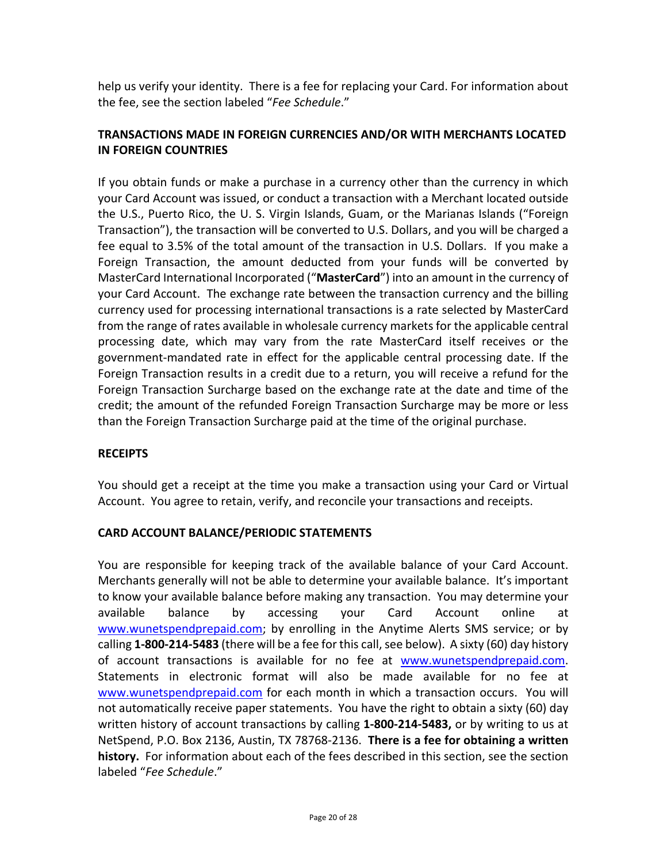<span id="page-19-0"></span>help us verify your identity. There is a fee for replacing your Card. For information about the fee, see the section labeled "*Fee Schedule*."

# **TRANSACTIONS MADE IN FOREIGN CURRENCIES AND/OR WITH MERCHANTS LOCATED IN FOREIGN COUNTRIES**

If you obtain funds or make a purchase in a currency other than the currency in which your Card Account was issued, or conduct a transaction with a Merchant located outside the U.S., Puerto Rico, the U. S. Virgin Islands, Guam, or the Marianas Islands ("Foreign Transaction"), the transaction will be converted to U.S. Dollars, and you will be charged a fee equal to 3.5% of the total amount of the transaction in U.S. Dollars. If you make a Foreign Transaction, the amount deducted from your funds will be converted by MasterCard International Incorporated ("**MasterCard**") into an amount in the currency of your Card Account. The exchange rate between the transaction currency and the billing currency used for processing international transactions is a rate selected by MasterCard from the range of rates available in wholesale currency markets for the applicable central processing date, which may vary from the rate MasterCard itself receives or the government‐mandated rate in effect for the applicable central processing date. If the Foreign Transaction results in a credit due to a return, you will receive a refund for the Foreign Transaction Surcharge based on the exchange rate at the date and time of the credit; the amount of the refunded Foreign Transaction Surcharge may be more or less than the Foreign Transaction Surcharge paid at the time of the original purchase.

## **RECEIPTS**

You should get a receipt at the time you make a transaction using your Card or Virtual Account. You agree to retain, verify, and reconcile your transactions and receipts.

## **CARD ACCOUNT BALANCE/PERIODIC STATEMENTS**

You are responsible for keeping track of the available balance of your Card Account. Merchants generally will not be able to determine your available balance. It's important to know your available balance before making any transaction. You may determine your available balance by accessing your Card Account online at www.wunetspendprepaid.com; by enrolling in the Anytime Alerts SMS service; or by calling **1‐800‐214‐5483** (there will be a fee for this call,see below). A sixty (60) day history of account transactions is available for no fee at www.wunetspendprepaid.com. Statements in electronic format will also be made available for no fee at www.wunetspendprepaid.com for each month in which a transaction occurs. You will not automatically receive paper statements. You have the right to obtain a sixty (60) day written history of account transactions by calling **1‐800‐214‐5483,** or by writing to us at NetSpend, P.O. Box 2136, Austin, TX 78768‐2136. **There is a fee for obtaining a written history.** For information about each of the fees described in this section, see the section labeled "*Fee Schedule*."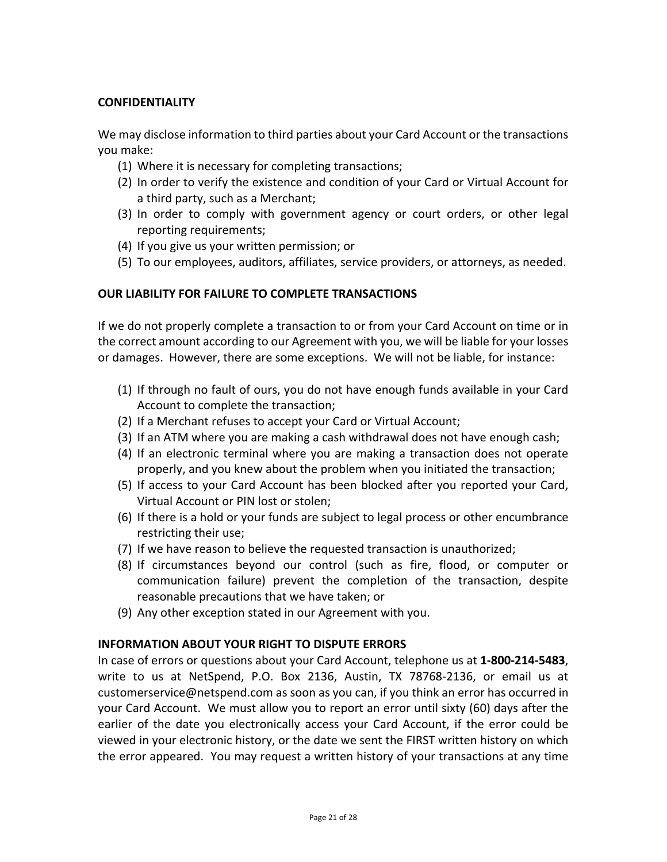## <span id="page-20-0"></span>**CONFIDENTIALITY**

We may disclose information to third parties about your Card Account or the transactions you make:

- (1) Where it is necessary for completing transactions;
- (2) In order to verify the existence and condition of your Card or Virtual Account for a third party, such as a Merchant;
- (3) In order to comply with government agency or court orders, or other legal reporting requirements;
- (4) If you give us your written permission; or
- (5) To our employees, auditors, affiliates, service providers, or attorneys, as needed.

# **OUR LIABILITY FOR FAILURE TO COMPLETE TRANSACTIONS**

If we do not properly complete a transaction to or from your Card Account on time or in the correct amount according to our Agreement with you, we will be liable for your losses or damages. However, there are some exceptions. We will not be liable, for instance:

- (1) If through no fault of ours, you do not have enough funds available in your Card Account to complete the transaction;
- (2) If a Merchant refuses to accept your Card or Virtual Account;
- (3) If an ATM where you are making a cash withdrawal does not have enough cash;
- (4) If an electronic terminal where you are making a transaction does not operate properly, and you knew about the problem when you initiated the transaction;
- (5) If access to your Card Account has been blocked after you reported your Card, Virtual Account or PIN lost or stolen;
- (6) If there is a hold or your funds are subject to legal process or other encumbrance restricting their use;
- (7) If we have reason to believe the requested transaction is unauthorized;
- (8) If circumstances beyond our control (such as fire, flood, or computer or communication failure) prevent the completion of the transaction, despite reasonable precautions that we have taken; or
- (9) Any other exception stated in our Agreement with you.

## **INFORMATION ABOUT YOUR RIGHT TO DISPUTE ERRORS**

In case of errors or questions about your Card Account, telephone us at **1‐800‐214‐5483**, write to us at NetSpend, P.O. Box 2136, Austin, TX 78768‐2136, or email us at customerservice@netspend.com as soon as you can, if you think an error has occurred in your Card Account. We must allow you to report an error until sixty (60) days after the earlier of the date you electronically access your Card Account, if the error could be viewed in your electronic history, or the date we sent the FIRST written history on which the error appeared. You may request a written history of your transactions at any time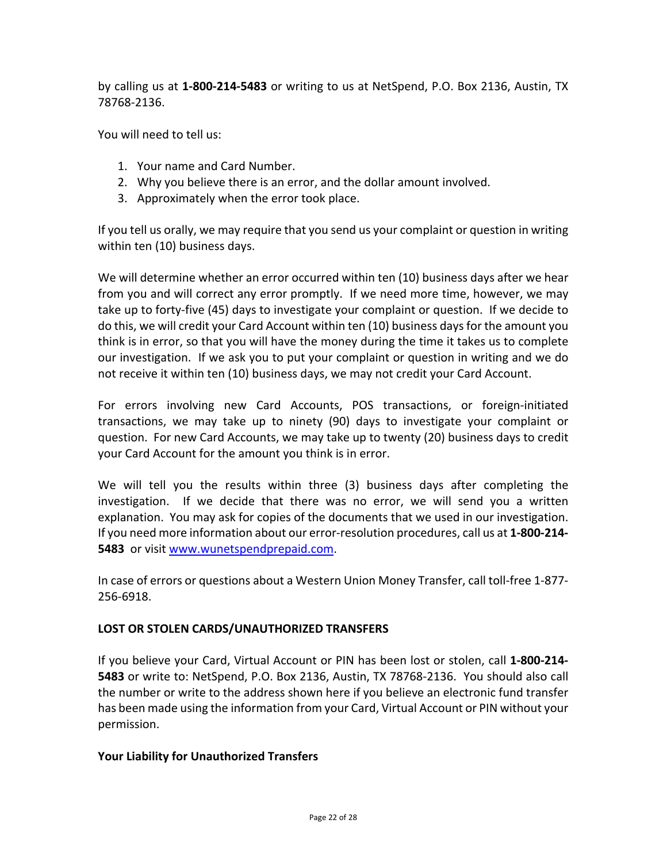<span id="page-21-0"></span>by calling us at **1‐800‐214‐5483** or writing to us at NetSpend, P.O. Box 2136, Austin, TX 78768‐2136.

You will need to tell us:

- 1. Your name and Card Number.
- 2. Why you believe there is an error, and the dollar amount involved.
- 3. Approximately when the error took place.

If you tell us orally, we may require that you send us your complaint or question in writing within ten (10) business days.

We will determine whether an error occurred within ten (10) business days after we hear from you and will correct any error promptly. If we need more time, however, we may take up to forty‐five (45) days to investigate your complaint or question. If we decide to do this, we will credit your Card Account within ten (10) business daysfor the amount you think is in error, so that you will have the money during the time it takes us to complete our investigation. If we ask you to put your complaint or question in writing and we do not receive it within ten (10) business days, we may not credit your Card Account.

For errors involving new Card Accounts, POS transactions, or foreign-initiated transactions, we may take up to ninety (90) days to investigate your complaint or question. For new Card Accounts, we may take up to twenty (20) business days to credit your Card Account for the amount you think is in error.

We will tell you the results within three (3) business days after completing the investigation. If we decide that there was no error, we will send you a written explanation. You may ask for copies of the documents that we used in our investigation. If you need more information about our error‐resolution procedures, call us at **1‐800‐214‐ 5483** or visit www.wunetspendprepaid.com.

In case of errors or questions about a Western Union Money Transfer, call toll‐free 1‐877‐ 256‐6918.

## **LOST OR STOLEN CARDS/UNAUTHORIZED TRANSFERS**

If you believe your Card, Virtual Account or PIN has been lost or stolen, call **1‐800‐214‐ 5483** or write to: NetSpend, P.O. Box 2136, Austin, TX 78768‐2136. You should also call the number or write to the address shown here if you believe an electronic fund transfer has been made using the information from your Card, Virtual Account or PIN without your permission.

#### **Your Liability for Unauthorized Transfers**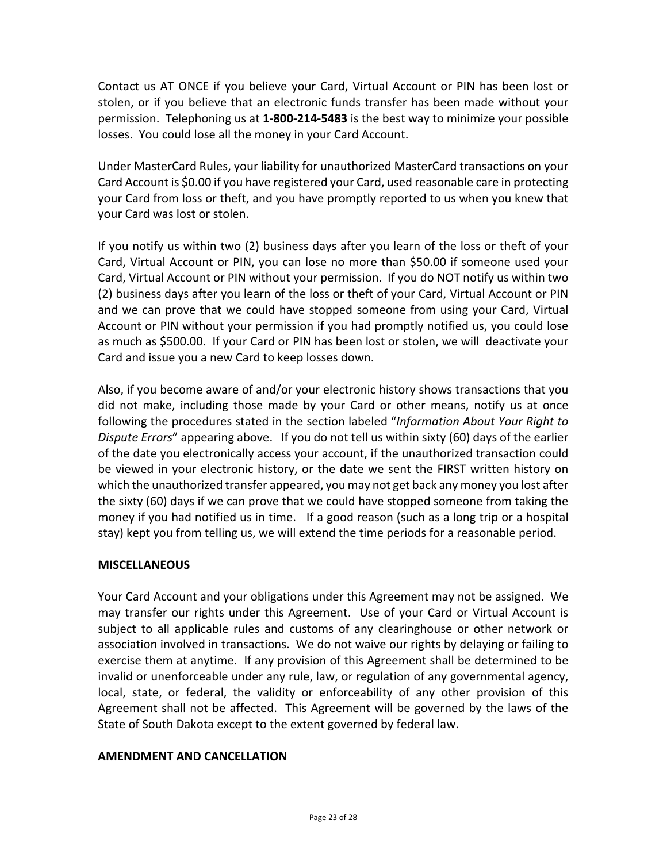<span id="page-22-0"></span>Contact us AT ONCE if you believe your Card, Virtual Account or PIN has been lost or stolen, or if you believe that an electronic funds transfer has been made without your permission. Telephoning us at **1‐800‐214‐5483** is the best way to minimize your possible losses. You could lose all the money in your Card Account.

Under MasterCard Rules, your liability for unauthorized MasterCard transactions on your Card Account is \$0.00 if you have registered your Card, used reasonable care in protecting your Card from loss or theft, and you have promptly reported to us when you knew that your Card was lost or stolen.

If you notify us within two (2) business days after you learn of the loss or theft of your Card, Virtual Account or PIN, you can lose no more than \$50.00 if someone used your Card, Virtual Account or PIN without your permission. If you do NOT notify us within two (2) business days after you learn of the loss or theft of your Card, Virtual Account or PIN and we can prove that we could have stopped someone from using your Card, Virtual Account or PIN without your permission if you had promptly notified us, you could lose as much as \$500.00.If your Card or PIN has been lost or stolen, we will deactivate your Card and issue you a new Card to keep losses down.

Also, if you become aware of and/or your electronic history shows transactions that you did not make, including those made by your Card or other means, notify us at once following the procedures stated in the section labeled "*Information About Your Right to Dispute Errors*" appearing above. If you do not tell us within sixty (60) days of the earlier of the date you electronically access your account, if the unauthorized transaction could be viewed in your electronic history, or the date we sent the FIRST written history on which the unauthorized transfer appeared, you may not get back any money you lost after the sixty (60) days if we can prove that we could have stopped someone from taking the money if you had notified us in time. If a good reason (such as a long trip or a hospital stay) kept you from telling us, we will extend the time periods for a reasonable period.

## **MISCELLANEOUS**

Your Card Account and your obligations under this Agreement may not be assigned. We may transfer our rights under this Agreement. Use of your Card or Virtual Account is subject to all applicable rules and customs of any clearinghouse or other network or association involved in transactions. We do not waive our rights by delaying or failing to exercise them at anytime. If any provision of this Agreement shall be determined to be invalid or unenforceable under any rule, law, or regulation of any governmental agency, local, state, or federal, the validity or enforceability of any other provision of this Agreement shall not be affected. This Agreement will be governed by the laws of the State of South Dakota except to the extent governed by federal law.

## **AMENDMENT AND CANCELLATION**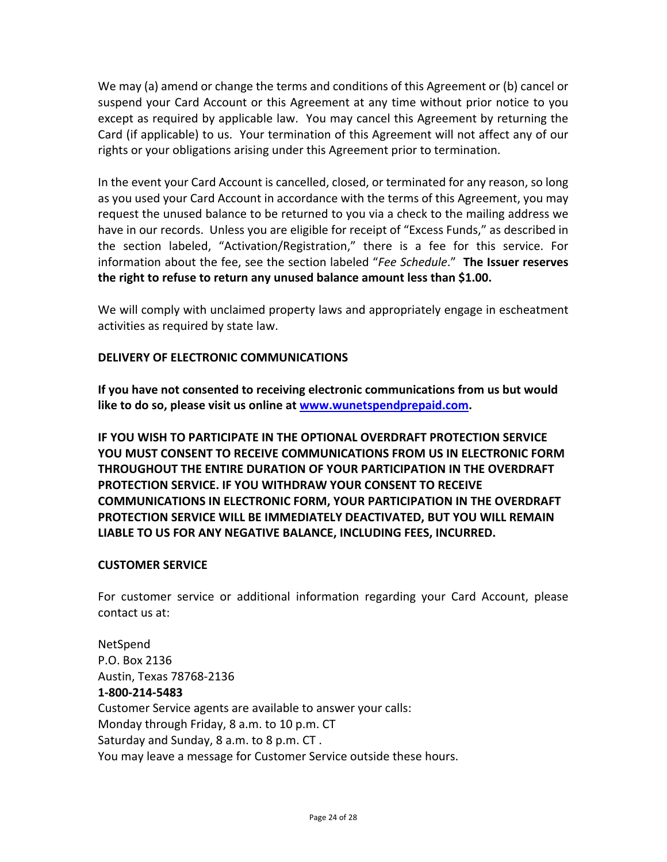<span id="page-23-0"></span>We may (a) amend or change the terms and conditions of this Agreement or (b) cancel or suspend your Card Account or this Agreement at any time without prior notice to you except as required by applicable law. You may cancel this Agreement by returning the Card (if applicable) to us. Your termination of this Agreement will not affect any of our rights or your obligations arising under this Agreement prior to termination.

In the event your Card Account is cancelled, closed, or terminated for any reason, so long as you used your Card Account in accordance with the terms of this Agreement, you may request the unused balance to be returned to you via a check to the mailing address we have in our records. Unless you are eligible for receipt of "Excess Funds," as described in the section labeled, "Activation/Registration," there is a fee for this service. For information about the fee, see the section labeled "*Fee Schedule*." **The Issuer reserves the right to refuse to return any unused balance amount less than \$1.00.**

We will comply with unclaimed property laws and appropriately engage in escheatment activities as required by state law.

## **DELIVERY OF ELECTRONIC COMMUNICATIONS**

**If you have not consented to receiving electronic communications from us but would like to do so, please visit us online at www.wunetspendprepaid.com.**

**IF YOU WISH TO PARTICIPATE IN THE OPTIONAL OVERDRAFT PROTECTION SERVICE YOU MUST CONSENT TO RECEIVE COMMUNICATIONS FROM US IN ELECTRONIC FORM THROUGHOUT THE ENTIRE DURATION OF YOUR PARTICIPATION IN THE OVERDRAFT PROTECTION SERVICE. IF YOU WITHDRAW YOUR CONSENT TO RECEIVE COMMUNICATIONS IN ELECTRONIC FORM, YOUR PARTICIPATION IN THE OVERDRAFT PROTECTION SERVICE WILL BE IMMEDIATELY DEACTIVATED, BUT YOU WILL REMAIN LIABLE TO US FOR ANY NEGATIVE BALANCE, INCLUDING FEES, INCURRED.**

## **CUSTOMER SERVICE**

For customer service or additional information regarding your Card Account, please contact us at:

NetSpend P.O. Box 2136 Austin, Texas 78768‐2136 **1‐800‐214‐5483** Customer Service agents are available to answer your calls: Monday through Friday, 8 a.m. to 10 p.m. CT Saturday and Sunday, 8 a.m. to 8 p.m. CT . You may leave a message for Customer Service outside these hours.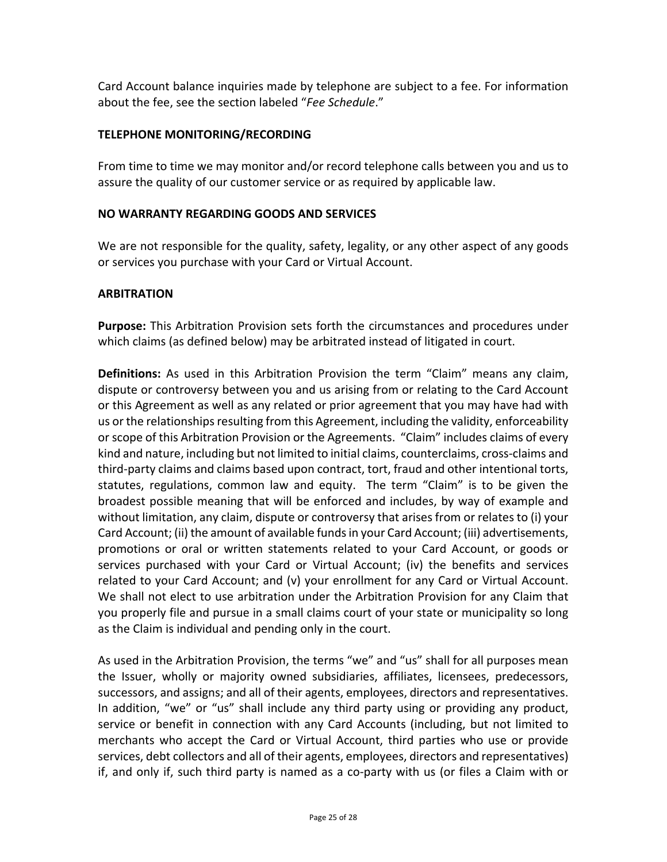<span id="page-24-0"></span>Card Account balance inquiries made by telephone are subject to a fee. For information about the fee, see the section labeled "*Fee Schedule*."

# **TELEPHONE MONITORING/RECORDING**

From time to time we may monitor and/or record telephone calls between you and us to assure the quality of our customer service or as required by applicable law.

#### **NO WARRANTY REGARDING GOODS AND SERVICES**

We are not responsible for the quality, safety, legality, or any other aspect of any goods or services you purchase with your Card or Virtual Account.

#### **ARBITRATION**

**Purpose:** This Arbitration Provision sets forth the circumstances and procedures under which claims (as defined below) may be arbitrated instead of litigated in court.

**Definitions:** As used in this Arbitration Provision the term "Claim" means any claim, dispute or controversy between you and us arising from or relating to the Card Account or this Agreement as well as any related or prior agreement that you may have had with us or the relationships resulting from this Agreement, including the validity, enforceability or scope of this Arbitration Provision or the Agreements. "Claim" includes claims of every kind and nature, including but not limited to initial claims, counterclaims, cross‐claims and third‐party claims and claims based upon contract, tort, fraud and other intentional torts, statutes, regulations, common law and equity. The term "Claim" is to be given the broadest possible meaning that will be enforced and includes, by way of example and without limitation, any claim, dispute or controversy that arises from or relates to (i) your Card Account; (ii) the amount of available fundsin your Card Account; (iii) advertisements, promotions or oral or written statements related to your Card Account, or goods or services purchased with your Card or Virtual Account; (iv) the benefits and services related to your Card Account; and (v) your enrollment for any Card or Virtual Account. We shall not elect to use arbitration under the Arbitration Provision for any Claim that you properly file and pursue in a small claims court of your state or municipality so long as the Claim is individual and pending only in the court.

As used in the Arbitration Provision, the terms "we" and "us" shall for all purposes mean the Issuer, wholly or majority owned subsidiaries, affiliates, licensees, predecessors, successors, and assigns; and all of their agents, employees, directors and representatives. In addition, "we" or "us" shall include any third party using or providing any product, service or benefit in connection with any Card Accounts (including, but not limited to merchants who accept the Card or Virtual Account, third parties who use or provide services, debt collectors and all of their agents, employees, directors and representatives) if, and only if, such third party is named as a co‐party with us (or files a Claim with or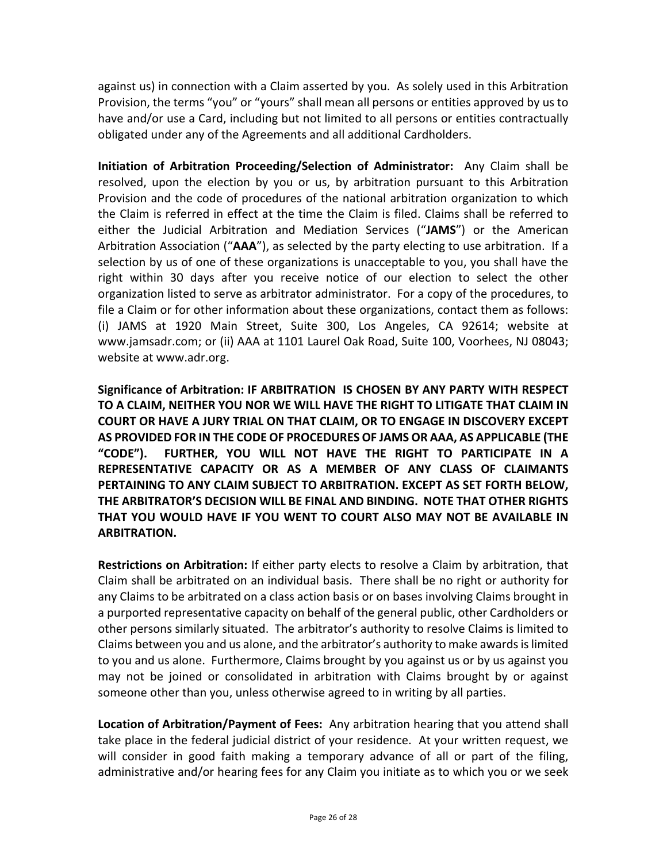against us) in connection with a Claim asserted by you. As solely used in this Arbitration Provision, the terms "you" or "yours" shall mean all persons or entities approved by us to have and/or use a Card, including but not limited to all persons or entities contractually obligated under any of the Agreements and all additional Cardholders.

**Initiation of Arbitration Proceeding/Selection of Administrator:** Any Claim shall be resolved, upon the election by you or us, by arbitration pursuant to this Arbitration Provision and the code of procedures of the national arbitration organization to which the Claim is referred in effect at the time the Claim is filed. Claims shall be referred to either the Judicial Arbitration and Mediation Services ("**JAMS**") or the American Arbitration Association ("**AAA**"), as selected by the party electing to use arbitration. If a selection by us of one of these organizations is unacceptable to you, you shall have the right within 30 days after you receive notice of our election to select the other organization listed to serve as arbitrator administrator. For a copy of the procedures, to file a Claim or for other information about these organizations, contact them as follows: (i) JAMS at 1920 Main Street, Suite 300, Los Angeles, CA 92614; website at www.jamsadr.com; or (ii) AAA at 1101 Laurel Oak Road, Suite 100, Voorhees, NJ 08043; website at www.adr.org.

**Significance of Arbitration: IF ARBITRATION IS CHOSEN BY ANY PARTY WITH RESPECT TO A CLAIM, NEITHER YOU NOR WE WILL HAVE THE RIGHT TO LITIGATE THAT CLAIM IN COURT OR HAVE A JURY TRIAL ON THAT CLAIM, OR TO ENGAGE IN DISCOVERY EXCEPT AS PROVIDED FOR IN THE CODE OF PROCEDURES OF JAMS OR AAA, AS APPLICABLE (THE "CODE"). FURTHER, YOU WILL NOT HAVE THE RIGHT TO PARTICIPATE IN A REPRESENTATIVE CAPACITY OR AS A MEMBER OF ANY CLASS OF CLAIMANTS PERTAINING TO ANY CLAIM SUBJECT TO ARBITRATION. EXCEPT AS SET FORTH BELOW, THE ARBITRATOR'S DECISION WILL BE FINAL AND BINDING. NOTE THAT OTHER RIGHTS THAT YOU WOULD HAVE IF YOU WENT TO COURT ALSO MAY NOT BE AVAILABLE IN ARBITRATION.**

**Restrictions on Arbitration:** If either party elects to resolve a Claim by arbitration, that Claim shall be arbitrated on an individual basis. There shall be no right or authority for any Claims to be arbitrated on a class action basis or on bases involving Claims brought in a purported representative capacity on behalf of the general public, other Cardholders or other persons similarly situated. The arbitrator's authority to resolve Claims is limited to Claims between you and us alone, and the arbitrator's authority to make awardsislimited to you and us alone. Furthermore, Claims brought by you against us or by us against you may not be joined or consolidated in arbitration with Claims brought by or against someone other than you, unless otherwise agreed to in writing by all parties.

**Location of Arbitration/Payment of Fees:** Any arbitration hearing that you attend shall take place in the federal judicial district of your residence. At your written request, we will consider in good faith making a temporary advance of all or part of the filing, administrative and/or hearing fees for any Claim you initiate as to which you or we seek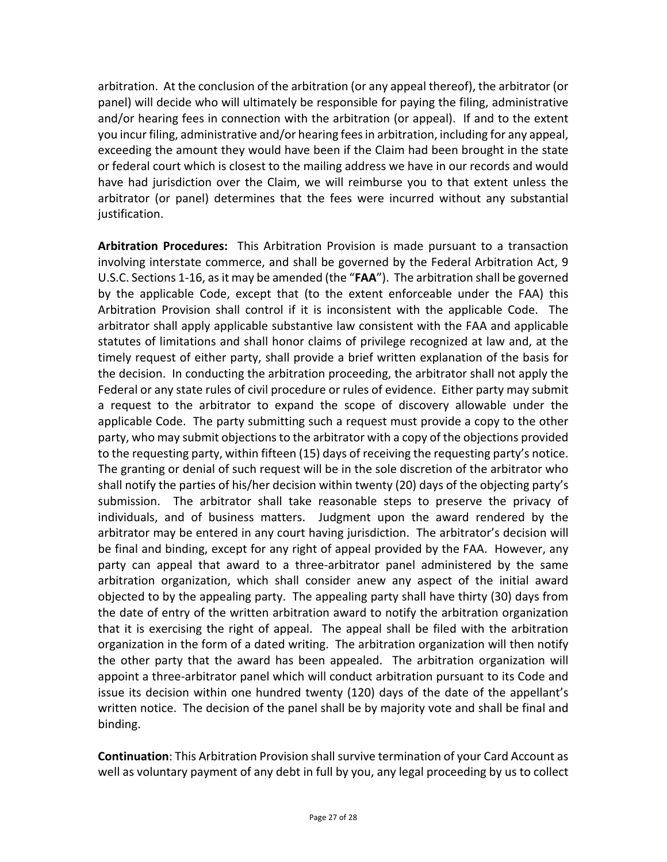arbitration. At the conclusion of the arbitration (or any appeal thereof), the arbitrator (or panel) will decide who will ultimately be responsible for paying the filing, administrative and/or hearing fees in connection with the arbitration (or appeal). If and to the extent you incur filing, administrative and/or hearing feesin arbitration, including for any appeal, exceeding the amount they would have been if the Claim had been brought in the state or federal court which is closest to the mailing address we have in our records and would have had jurisdiction over the Claim, we will reimburse you to that extent unless the arbitrator (or panel) determines that the fees were incurred without any substantial justification.

**Arbitration Procedures:** This Arbitration Provision is made pursuant to a transaction involving interstate commerce, and shall be governed by the Federal Arbitration Act, 9 U.S.C. Sections 1‐16, asit may be amended (the "**FAA**"). The arbitration shall be governed by the applicable Code, except that (to the extent enforceable under the FAA) this Arbitration Provision shall control if it is inconsistent with the applicable Code. The arbitrator shall apply applicable substantive law consistent with the FAA and applicable statutes of limitations and shall honor claims of privilege recognized at law and, at the timely request of either party, shall provide a brief written explanation of the basis for the decision. In conducting the arbitration proceeding, the arbitrator shall not apply the Federal or any state rules of civil procedure or rules of evidence. Either party may submit a request to the arbitrator to expand the scope of discovery allowable under the applicable Code. The party submitting such a request must provide a copy to the other party, who may submit objections to the arbitrator with a copy of the objections provided to the requesting party, within fifteen (15) days of receiving the requesting party's notice. The granting or denial of such request will be in the sole discretion of the arbitrator who shall notify the parties of his/her decision within twenty (20) days of the objecting party's submission. The arbitrator shall take reasonable steps to preserve the privacy of individuals, and of business matters. Judgment upon the award rendered by the arbitrator may be entered in any court having jurisdiction. The arbitrator's decision will be final and binding, except for any right of appeal provided by the FAA. However, any party can appeal that award to a three‐arbitrator panel administered by the same arbitration organization, which shall consider anew any aspect of the initial award objected to by the appealing party. The appealing party shall have thirty (30) days from the date of entry of the written arbitration award to notify the arbitration organization that it is exercising the right of appeal. The appeal shall be filed with the arbitration organization in the form of a dated writing. The arbitration organization will then notify the other party that the award has been appealed. The arbitration organization will appoint a three‐arbitrator panel which will conduct arbitration pursuant to its Code and issue its decision within one hundred twenty (120) days of the date of the appellant's written notice. The decision of the panel shall be by majority vote and shall be final and binding.

**Continuation**: This Arbitration Provision shallsurvive termination of your Card Account as well as voluntary payment of any debt in full by you, any legal proceeding by us to collect